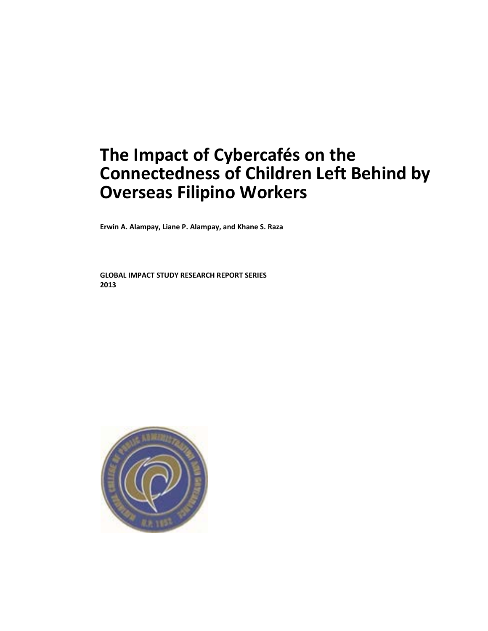# **The Impact of Cybercafés on the Connectedness of Children Left Behind by Overseas Filipino Workers**

**Erwin A. Alampay, Liane P. Alampay, and Khane S. Raza**

**GLOBAL IMPACT STUDY RESEARCH REPORT SERIES 2013**

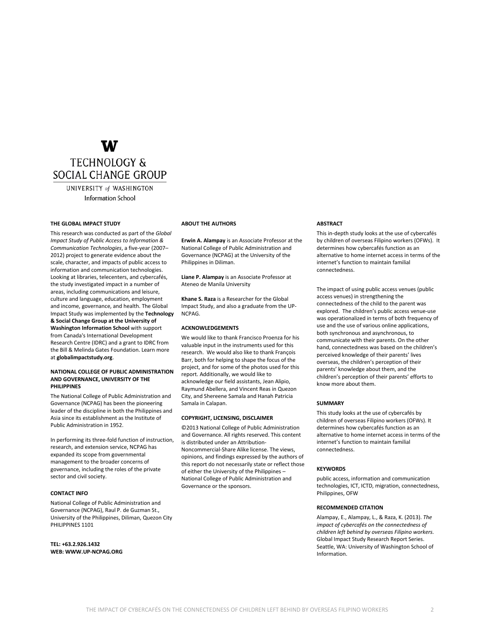### W **TECHNOLOGY &** SOCIAL CHANGE GROUP

UNIVERSITY of WASHINGTON **Information School** 

#### **THE GLOBAL IMPACT STUDY**

This research was conducted as part of the *Global Impact Study of Public Access to Information & Communication Technologies*, a five-year (2007– 2012) project to generate evidence about the scale, character, and impacts of public access to information and communication technologies. Looking at libraries, telecenters, and cybercafés, the study investigated impact in a number of areas, including communications and leisure, culture and language, education, employment and income, governance, and health. The Global Impact Study was implemented by the **Technology & Social Change Group at the University of Washington Information School** with support from Canada's International Development Research Centre (IDRC) and a grant to IDRC from the Bill & Melinda Gates Foundation. Learn more at **globalimpactstudy.org**.

#### **NATIONAL COLLEGE OF PUBLIC ADMINISTRATION AND GOVERNANCE, UNIVERSITY OF THE PHILIPPINES**

The National College of Public Administration and Governance (NCPAG) has been the pioneering leader of the discipline in both the Philippines and Asia since its establishment as the Institute of Public Administration in 1952.

In performing its three-fold function of instruction, research, and extension service, NCPAG has expanded its scope from governmental management to the broader concerns of governance, including the roles of the private sector and civil society.

#### **CONTACT INFO**

National College of Public Administration and Governance (NCPAG), Raul P. de Guzman St., University of the Philippines, Diliman, Quezon City PHILIPPINES 1101

**TEL: +63.2.926.1432 WEB: WWW.UP-NCPAG.ORG**

#### **ABOUT THE AUTHORS**

**Erwin A. Alampay** is an Associate Professor at the National College of Public Administration and Governance (NCPAG) at the University of the Philippines in Diliman.

**Liane P. Alampay** is an Associate Professor at Ateneo de Manila University

**Khane S. Raza** is a Researcher for the Global Impact Study, and also a graduate from the UP-NCPAG.

#### **ACKNOWLEDGEMENTS**

We would like to thank Francisco Proenza for his valuable input in the instruments used for this research. We would also like to thank François Barr, both for helping to shape the focus of the project, and for some of the photos used for this report. Additionally, we would like to acknowledge our field assistants, Jean Alipio, Raymund Abellera, and Vincent Reas in Quezon City, and Shereene Samala and Hanah Patricia Samala in Calapan.

#### **COPYRIGHT, LICENSING, DISCLAIMER**

©2013 National College of Public Administration and Governance. All rights reserved. This content is distributed under an Attribution-Noncommercial-Share Alike license. The views, opinions, and findings expressed by the authors of this report do not necessarily state or reflect those of either the University of the Philippines – National College of Public Administration and Governance or the sponsors.

#### **ABSTRACT**

This in-depth study looks at the use of cybercafés by children of overseas Filipino workers (OFWs). It determines how cybercafés function as an alternative to home internet access in terms of the internet's function to maintain familial connectedness.

The impact of using public access venues (public access venues) in strengthening the connectedness of the child to the parent was explored. The children's public access venue-use was operationalized in terms of both frequency of use and the use of various online applications, both synchronous and asynchronous, to communicate with their parents. On the other hand, connectedness was based on the children's perceived knowledge of their parents' lives overseas, the children's perception of their parents' knowledge about them, and the children's perception of their parents' efforts to know more about them.

#### **SUMMARY**

This study looks at the use of cybercafés by children of overseas Filipino workers (OFWs). It determines how cybercafés function as an alternative to home internet access in terms of the internet's function to maintain familial connectedness.

#### **KEYWORDS**

public access, information and communication technologies, ICT, ICTD, migration, connectedness, Philippines, OFW

#### **RECOMMENDED CITATION**

Alampay, E., Alampay, L., & Raza, K. (2013). *The impact of cybercafés on the connectedness of children left behind by overseas Filipino workers.* Global Impact Study Research Report Series. Seattle, WA: University of Washington School of Information.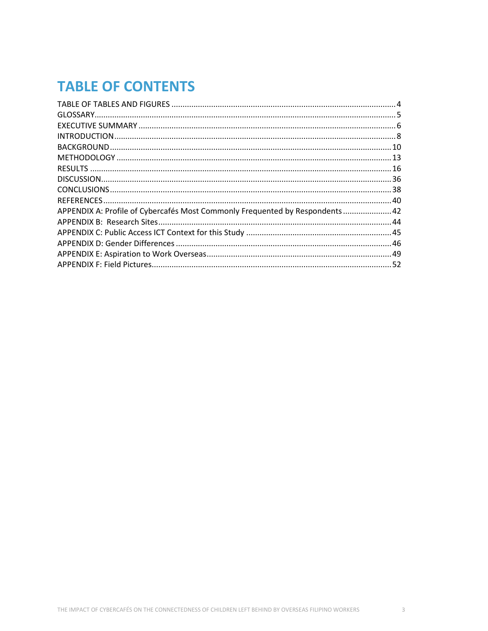## **TABLE OF CONTENTS**

| APPENDIX A: Profile of Cybercafés Most Commonly Frequented by Respondents  42 |  |
|-------------------------------------------------------------------------------|--|
|                                                                               |  |
|                                                                               |  |
|                                                                               |  |
|                                                                               |  |
|                                                                               |  |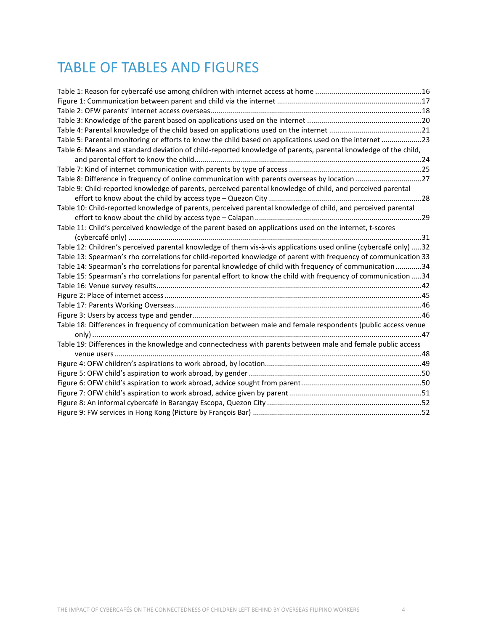## TABLE OF TABLES AND FIGURES

| Table 5: Parental monitoring or efforts to know the child based on applications used on the internet 23          |  |
|------------------------------------------------------------------------------------------------------------------|--|
| Table 6: Means and standard deviation of child-reported knowledge of parents, parental knowledge of the child,   |  |
|                                                                                                                  |  |
|                                                                                                                  |  |
|                                                                                                                  |  |
| Table 9: Child-reported knowledge of parents, perceived parental knowledge of child, and perceived parental      |  |
|                                                                                                                  |  |
| Table 10: Child-reported knowledge of parents, perceived parental knowledge of child, and perceived parental     |  |
|                                                                                                                  |  |
| Table 11: Child's perceived knowledge of the parent based on applications used on the internet, t-scores         |  |
|                                                                                                                  |  |
| Table 12: Children's perceived parental knowledge of them vis-à-vis applications used online (cybercafé only) 32 |  |
| Table 13: Spearman's rho correlations for child-reported knowledge of parent with frequency of communication 33  |  |
| Table 14: Spearman's rho correlations for parental knowledge of child with frequency of communication 34         |  |
| Table 15: Spearman's rho correlations for parental effort to know the child with frequency of communication 34   |  |
|                                                                                                                  |  |
|                                                                                                                  |  |
|                                                                                                                  |  |
|                                                                                                                  |  |
| Table 18: Differences in frequency of communication between male and female respondents (public access venue     |  |
|                                                                                                                  |  |
| Table 19: Differences in the knowledge and connectedness with parents between male and female public access      |  |
|                                                                                                                  |  |
|                                                                                                                  |  |
|                                                                                                                  |  |
|                                                                                                                  |  |
|                                                                                                                  |  |
|                                                                                                                  |  |
|                                                                                                                  |  |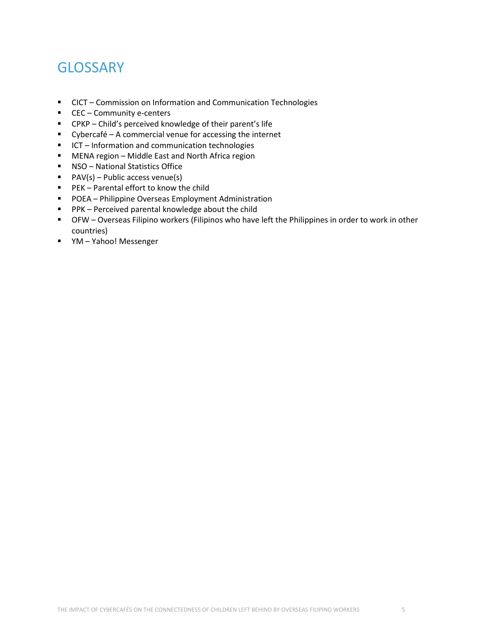## **GLOSSARY**

- CICT Commission on Information and Communication Technologies
- CEC Community e-centers
- CPKP Child's perceived knowledge of their parent's life
- Cybercafé A commercial venue for accessing the internet
- **ICT** Information and communication technologies
- MENA region Middle East and North Africa region
- **NSO** National Statistics Office
- $\blacksquare$  PAV(s) Public access venue(s)
- **PEK** Parental effort to know the child
- **POEA** Philippine Overseas Employment Administration
- **PPK** Perceived parental knowledge about the child
- OFW Overseas Filipino workers (Filipinos who have left the Philippines in order to work in other countries)
- YM Yahoo! Messenger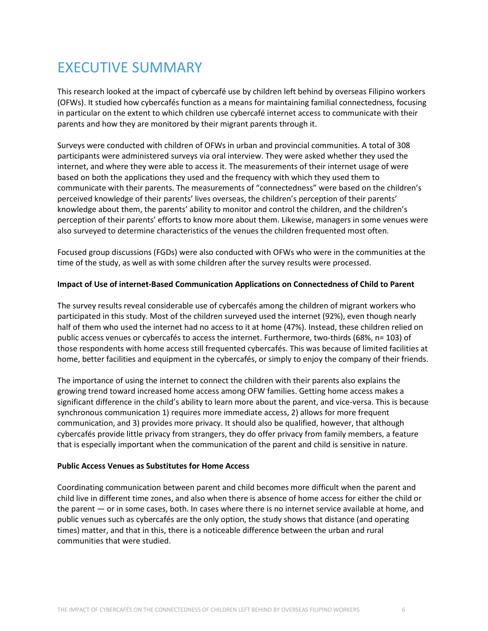## EXECUTIVE SUMMARY

This research looked at the impact of cybercafé use by children left behind by overseas Filipino workers (OFWs). It studied how cybercafés function as a means for maintaining familial connectedness, focusing in particular on the extent to which children use cybercafé internet access to communicate with their parents and how they are monitored by their migrant parents through it.

Surveys were conducted with children of OFWs in urban and provincial communities. A total of 308 participants were administered surveys via oral interview. They were asked whether they used the internet, and where they were able to access it. The measurements of their internet usage of were based on both the applications they used and the frequency with which they used them to communicate with their parents. The measurements of "connectedness" were based on the children's perceived knowledge of their parents' lives overseas, the children's perception of their parents' knowledge about them, the parents' ability to monitor and control the children, and the children's perception of their parents' efforts to know more about them. Likewise, managers in some venues were also surveyed to determine characteristics of the venues the children frequented most often.

Focused group discussions (FGDs) were also conducted with OFWs who were in the communities at the time of the study, as well as with some children after the survey results were processed.

### **Impact of Use of internet-Based Communication Applications on Connectedness of Child to Parent**

The survey results reveal considerable use of cybercafés among the children of migrant workers who participated in this study. Most of the children surveyed used the internet (92%), even though nearly half of them who used the internet had no access to it at home (47%). Instead, these children relied on public access venues or cybercafés to access the internet. Furthermore, two-thirds (68%, n= 103) of those respondents with home access still frequented cybercafés. This was because of limited facilities at home, better facilities and equipment in the cybercafés, or simply to enjoy the company of their friends.

The importance of using the internet to connect the children with their parents also explains the growing trend toward increased home access among OFW families. Getting home access makes a significant difference in the child's ability to learn more about the parent, and vice-versa. This is because synchronous communication 1) requires more immediate access, 2) allows for more frequent communication, and 3) provides more privacy. It should also be qualified, however, that although cybercafés provide little privacy from strangers, they do offer privacy from family members, a feature that is especially important when the communication of the parent and child is sensitive in nature.

#### **Public Access Venues as Substitutes for Home Access**

Coordinating communication between parent and child becomes more difficult when the parent and child live in different time zones, and also when there is absence of home access for either the child or the parent — or in some cases, both. In cases where there is no internet service available at home, and public venues such as cybercafés are the only option, the study shows that distance (and operating times) matter, and that in this, there is a noticeable difference between the urban and rural communities that were studied.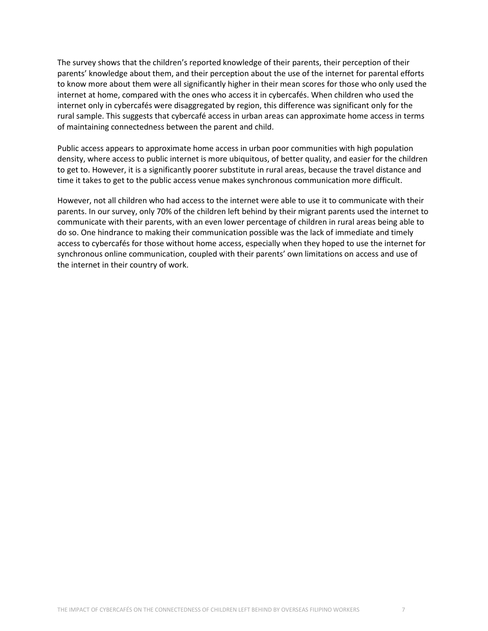The survey shows that the children's reported knowledge of their parents, their perception of their parents' knowledge about them, and their perception about the use of the internet for parental efforts to know more about them were all significantly higher in their mean scores for those who only used the internet at home, compared with the ones who access it in cybercafés. When children who used the internet only in cybercafés were disaggregated by region, this difference was significant only for the rural sample. This suggests that cybercafé access in urban areas can approximate home access in terms of maintaining connectedness between the parent and child.

Public access appears to approximate home access in urban poor communities with high population density, where access to public internet is more ubiquitous, of better quality, and easier for the children to get to. However, it is a significantly poorer substitute in rural areas, because the travel distance and time it takes to get to the public access venue makes synchronous communication more difficult.

However, not all children who had access to the internet were able to use it to communicate with their parents. In our survey, only 70% of the children left behind by their migrant parents used the internet to communicate with their parents, with an even lower percentage of children in rural areas being able to do so. One hindrance to making their communication possible was the lack of immediate and timely access to cybercafés for those without home access, especially when they hoped to use the internet for synchronous online communication, coupled with their parents' own limitations on access and use of the internet in their country of work.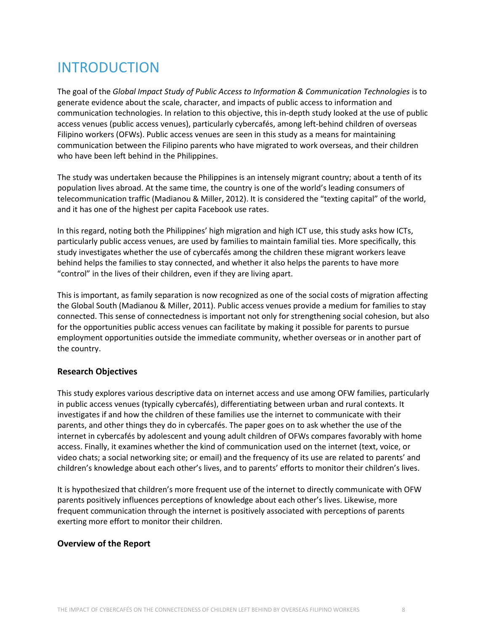# INTRODUCTION

The goal of the *Global Impact Study of Public Access to Information & Communication Technologies* is to generate evidence about the scale, character, and impacts of public access to information and communication technologies. In relation to this objective, this in-depth study looked at the use of public access venues (public access venues), particularly cybercafés, among left-behind children of overseas Filipino workers (OFWs). Public access venues are seen in this study as a means for maintaining communication between the Filipino parents who have migrated to work overseas, and their children who have been left behind in the Philippines.

The study was undertaken because the Philippines is an intensely migrant country; about a tenth of its population lives abroad. At the same time, the country is one of the world's leading consumers of telecommunication traffic (Madianou & Miller, 2012). It is considered the "texting capital" of the world, and it has one of the highest per capita Facebook use rates.

In this regard, noting both the Philippines' high migration and high ICT use, this study asks how ICTs, particularly public access venues, are used by families to maintain familial ties. More specifically, this study investigates whether the use of cybercafés among the children these migrant workers leave behind helps the families to stay connected, and whether it also helps the parents to have more "control" in the lives of their children, even if they are living apart.

This is important, as family separation is now recognized as one of the social costs of migration affecting the Global South (Madianou & Miller, 2011). Public access venues provide a medium for families to stay connected. This sense of connectedness is important not only for strengthening social cohesion, but also for the opportunities public access venues can facilitate by making it possible for parents to pursue employment opportunities outside the immediate community, whether overseas or in another part of the country.

### **Research Objectives**

This study explores various descriptive data on internet access and use among OFW families, particularly in public access venues (typically cybercafés), differentiating between urban and rural contexts. It investigates if and how the children of these families use the internet to communicate with their parents, and other things they do in cybercafés. The paper goes on to ask whether the use of the internet in cybercafés by adolescent and young adult children of OFWs compares favorably with home access. Finally, it examines whether the kind of communication used on the internet (text, voice, or video chats; a social networking site; or email) and the frequency of its use are related to parents' and children's knowledge about each other's lives, and to parents' efforts to monitor their children's lives.

It is hypothesized that children's more frequent use of the internet to directly communicate with OFW parents positively influences perceptions of knowledge about each other's lives. Likewise, more frequent communication through the internet is positively associated with perceptions of parents exerting more effort to monitor their children.

### **Overview of the Report**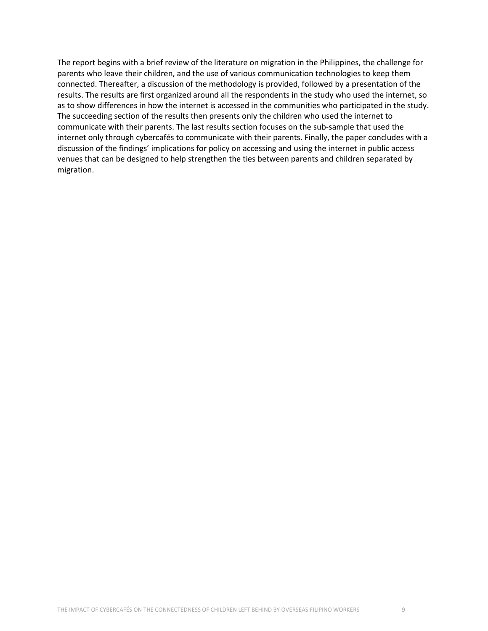The report begins with a brief review of the literature on migration in the Philippines, the challenge for parents who leave their children, and the use of various communication technologies to keep them connected. Thereafter, a discussion of the methodology is provided, followed by a presentation of the results. The results are first organized around all the respondents in the study who used the internet, so as to show differences in how the internet is accessed in the communities who participated in the study. The succeeding section of the results then presents only the children who used the internet to communicate with their parents. The last results section focuses on the sub-sample that used the internet only through cybercafés to communicate with their parents. Finally, the paper concludes with a discussion of the findings' implications for policy on accessing and using the internet in public access venues that can be designed to help strengthen the ties between parents and children separated by migration.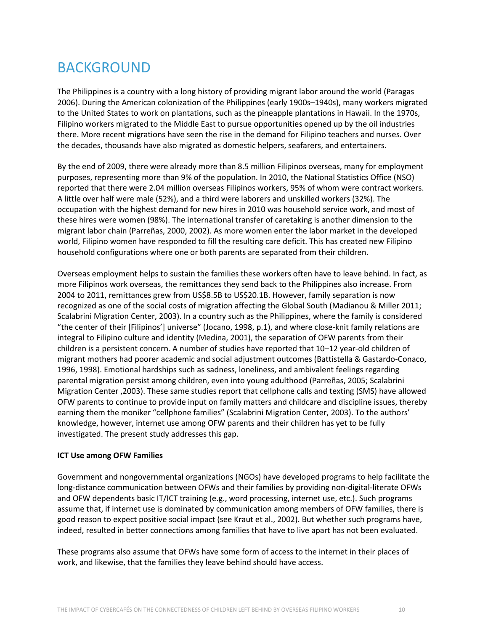## BACKGROUND

The Philippines is a country with a long history of providing migrant labor around the world (Paragas 2006). During the American colonization of the Philippines (early 1900s–1940s), many workers migrated to the United States to work on plantations, such as the pineapple plantations in Hawaii. In the 1970s, Filipino workers migrated to the Middle East to pursue opportunities opened up by the oil industries there. More recent migrations have seen the rise in the demand for Filipino teachers and nurses. Over the decades, thousands have also migrated as domestic helpers, seafarers, and entertainers.

By the end of 2009, there were already more than 8.5 million Filipinos overseas, many for employment purposes, representing more than 9% of the population. In 2010, the National Statistics Office (NSO) reported that there were 2.04 million overseas Filipinos workers, 95% of whom were contract workers. A little over half were male (52%), and a third were laborers and unskilled workers (32%). The occupation with the highest demand for new hires in 2010 was household service work, and most of these hires were women (98%). The international transfer of caretaking is another dimension to the migrant labor chain (Parreñas, 2000, 2002). As more women enter the labor market in the developed world, Filipino women have responded to fill the resulting care deficit. This has created new Filipino household configurations where one or both parents are separated from their children.

Overseas employment helps to sustain the families these workers often have to leave behind. In fact, as more Filipinos work overseas, the remittances they send back to the Philippines also increase. From 2004 to 2011, remittances grew from US\$8.5B to US\$20.1B. However, family separation is now recognized as one of the social costs of migration affecting the Global South (Madianou & Miller 2011; Scalabrini Migration Center, 2003). In a country such as the Philippines, where the family is considered "the center of their [Filipinos'] universe" (Jocano, 1998, p.1), and where close-knit family relations are integral to Filipino culture and identity (Medina, 2001), the separation of OFW parents from their children is a persistent concern. A number of studies have reported that 10–12 year-old children of migrant mothers had poorer academic and social adjustment outcomes (Battistella & Gastardo-Conaco, 1996, 1998). Emotional hardships such as sadness, loneliness, and ambivalent feelings regarding parental migration persist among children, even into young adulthood (Parreñas, 2005; Scalabrini Migration Center ,2003). These same studies report that cellphone calls and texting (SMS) have allowed OFW parents to continue to provide input on family matters and childcare and discipline issues, thereby earning them the moniker "cellphone families" (Scalabrini Migration Center, 2003). To the authors' knowledge, however, internet use among OFW parents and their children has yet to be fully investigated. The present study addresses this gap.

### **ICT Use among OFW Families**

Government and nongovernmental organizations (NGOs) have developed programs to help facilitate the long-distance communication between OFWs and their families by providing non-digital-literate OFWs and OFW dependents basic IT/ICT training (e.g., word processing, internet use, etc.). Such programs assume that, if internet use is dominated by communication among members of OFW families, there is good reason to expect positive social impact (see Kraut et al., 2002). But whether such programs have, indeed, resulted in better connections among families that have to live apart has not been evaluated.

These programs also assume that OFWs have some form of access to the internet in their places of work, and likewise, that the families they leave behind should have access.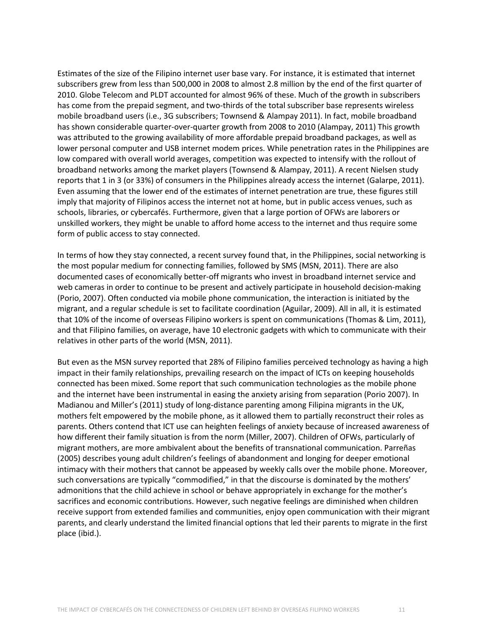Estimates of the size of the Filipino internet user base vary. For instance, it is estimated that internet subscribers grew from less than 500,000 in 2008 to almost 2.8 million by the end of the first quarter of 2010. Globe Telecom and PLDT accounted for almost 96% of these. Much of the growth in subscribers has come from the prepaid segment, and two-thirds of the total subscriber base represents wireless mobile broadband users (i.e., 3G subscribers; Townsend & Alampay 2011). In fact, mobile broadband has shown considerable quarter-over-quarter growth from 2008 to 2010 (Alampay, 2011) This growth was attributed to the growing availability of more affordable prepaid broadband packages, as well as lower personal computer and USB internet modem prices. While penetration rates in the Philippines are low compared with overall world averages, competition was expected to intensify with the rollout of broadband networks among the market players (Townsend & Alampay, 2011). A recent Nielsen study reports that 1 in 3 (or 33%) of consumers in the Philippines already access the internet (Galarpe, 2011). Even assuming that the lower end of the estimates of internet penetration are true, these figures still imply that majority of Filipinos access the internet not at home, but in public access venues, such as schools, libraries, or cybercafés. Furthermore, given that a large portion of OFWs are laborers or unskilled workers, they might be unable to afford home access to the internet and thus require some form of public access to stay connected.

In terms of how they stay connected, a recent survey found that, in the Philippines, social networking is the most popular medium for connecting families, followed by SMS (MSN, 2011). There are also documented cases of economically better-off migrants who invest in broadband internet service and web cameras in order to continue to be present and actively participate in household decision-making (Porio, 2007). Often conducted via mobile phone communication, the interaction is initiated by the migrant, and a regular schedule is set to facilitate coordination (Aguilar, 2009). All in all, it is estimated that 10% of the income of overseas Filipino workers is spent on communications (Thomas & Lim, 2011), and that Filipino families, on average, have 10 electronic gadgets with which to communicate with their relatives in other parts of the world (MSN, 2011).

But even as the MSN survey reported that 28% of Filipino families perceived technology as having a high impact in their family relationships, prevailing research on the impact of ICTs on keeping households connected has been mixed. Some report that such communication technologies as the mobile phone and the internet have been instrumental in easing the anxiety arising from separation (Porio 2007). In Madianou and Miller's (2011) study of long-distance parenting among Filipina migrants in the UK, mothers felt empowered by the mobile phone, as it allowed them to partially reconstruct their roles as parents. Others contend that ICT use can heighten feelings of anxiety because of increased awareness of how different their family situation is from the norm (Miller, 2007). Children of OFWs, particularly of migrant mothers, are more ambivalent about the benefits of transnational communication. Parreñas (2005) describes young adult children's feelings of abandonment and longing for deeper emotional intimacy with their mothers that cannot be appeased by weekly calls over the mobile phone. Moreover, such conversations are typically "commodified," in that the discourse is dominated by the mothers' admonitions that the child achieve in school or behave appropriately in exchange for the mother's sacrifices and economic contributions. However, such negative feelings are diminished when children receive support from extended families and communities, enjoy open communication with their migrant parents, and clearly understand the limited financial options that led their parents to migrate in the first place (ibid.).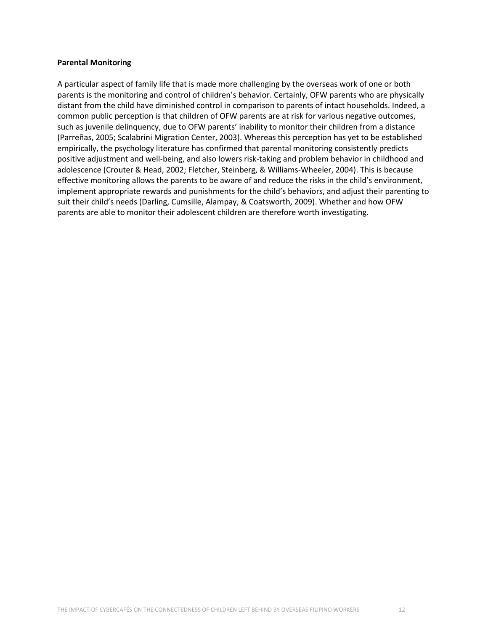#### **Parental Monitoring**

A particular aspect of family life that is made more challenging by the overseas work of one or both parents is the monitoring and control of children's behavior. Certainly, OFW parents who are physically distant from the child have diminished control in comparison to parents of intact households. Indeed, a common public perception is that children of OFW parents are at risk for various negative outcomes, such as juvenile delinquency, due to OFW parents' inability to monitor their children from a distance (Parreñas, 2005; Scalabrini Migration Center, 2003). Whereas this perception has yet to be established empirically, the psychology literature has confirmed that parental monitoring consistently predicts positive adjustment and well-being, and also lowers risk-taking and problem behavior in childhood and adolescence (Crouter & Head, 2002; Fletcher, Steinberg, & Williams-Wheeler, 2004). This is because effective monitoring allows the parents to be aware of and reduce the risks in the child's environment, implement appropriate rewards and punishments for the child's behaviors, and adjust their parenting to suit their child's needs (Darling, Cumsille, Alampay, & Coatsworth, 2009). Whether and how OFW parents are able to monitor their adolescent children are therefore worth investigating.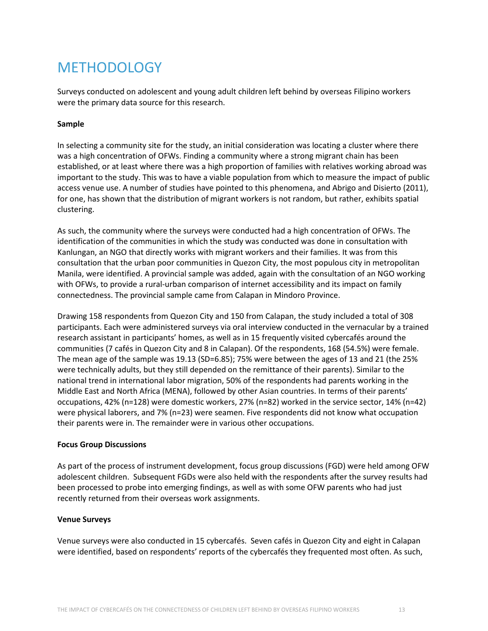## METHODOLOGY

Surveys conducted on adolescent and young adult children left behind by overseas Filipino workers were the primary data source for this research.

#### **Sample**

In selecting a community site for the study, an initial consideration was locating a cluster where there was a high concentration of OFWs. Finding a community where a strong migrant chain has been established, or at least where there was a high proportion of families with relatives working abroad was important to the study. This was to have a viable population from which to measure the impact of public access venue use. A number of studies have pointed to this phenomena, and Abrigo and Disierto (2011), for one, has shown that the distribution of migrant workers is not random, but rather, exhibits spatial clustering.

As such, the community where the surveys were conducted had a high concentration of OFWs. The identification of the communities in which the study was conducted was done in consultation with Kanlungan, an NGO that directly works with migrant workers and their families. It was from this consultation that the urban poor communities in Quezon City, the most populous city in metropolitan Manila, were identified. A provincial sample was added, again with the consultation of an NGO working with OFWs, to provide a rural-urban comparison of internet accessibility and its impact on family connectedness. The provincial sample came from Calapan in Mindoro Province.

Drawing 158 respondents from Quezon City and 150 from Calapan, the study included a total of 308 participants. Each were administered surveys via oral interview conducted in the vernacular by a trained research assistant in participants' homes, as well as in 15 frequently visited cybercafés around the communities (7 cafés in Quezon City and 8 in Calapan). Of the respondents, 168 (54.5%) were female. The mean age of the sample was 19.13 (SD=6.85); 75% were between the ages of 13 and 21 (the 25% were technically adults, but they still depended on the remittance of their parents). Similar to the national trend in international labor migration, 50% of the respondents had parents working in the Middle East and North Africa (MENA), followed by other Asian countries. In terms of their parents' occupations, 42% (n=128) were domestic workers, 27% (n=82) worked in the service sector, 14% (n=42) were physical laborers, and 7% (n=23) were seamen. Five respondents did not know what occupation their parents were in. The remainder were in various other occupations.

#### **Focus Group Discussions**

As part of the process of instrument development, focus group discussions (FGD) were held among OFW adolescent children. Subsequent FGDs were also held with the respondents after the survey results had been processed to probe into emerging findings, as well as with some OFW parents who had just recently returned from their overseas work assignments.

#### **Venue Surveys**

Venue surveys were also conducted in 15 cybercafés. Seven cafés in Quezon City and eight in Calapan were identified, based on respondents' reports of the cybercafés they frequented most often. As such,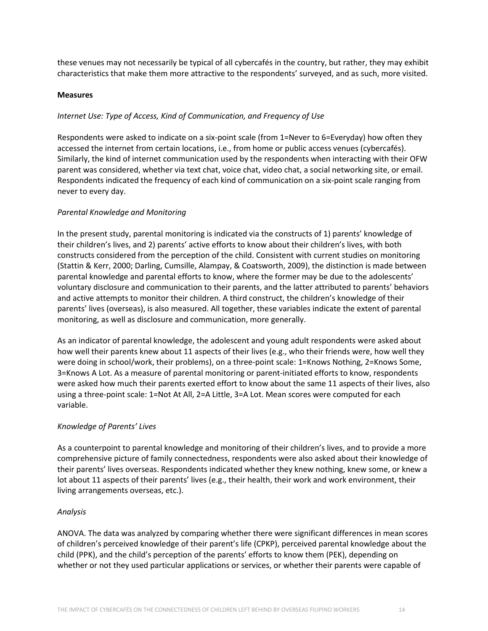these venues may not necessarily be typical of all cybercafés in the country, but rather, they may exhibit characteristics that make them more attractive to the respondents' surveyed, and as such, more visited.

#### **Measures**

### *Internet Use: Type of Access, Kind of Communication, and Frequency of Use*

Respondents were asked to indicate on a six-point scale (from 1=Never to 6=Everyday) how often they accessed the internet from certain locations, i.e., from home or public access venues (cybercafés). Similarly, the kind of internet communication used by the respondents when interacting with their OFW parent was considered, whether via text chat, voice chat, video chat, a social networking site, or email. Respondents indicated the frequency of each kind of communication on a six-point scale ranging from never to every day.

### *Parental Knowledge and Monitoring*

In the present study, parental monitoring is indicated via the constructs of 1) parents' knowledge of their children's lives, and 2) parents' active efforts to know about their children's lives, with both constructs considered from the perception of the child. Consistent with current studies on monitoring (Stattin & Kerr, 2000; Darling, Cumsille, Alampay, & Coatsworth, 2009), the distinction is made between parental knowledge and parental efforts to know, where the former may be due to the adolescents' voluntary disclosure and communication to their parents, and the latter attributed to parents' behaviors and active attempts to monitor their children. A third construct, the children's knowledge of their parents' lives (overseas), is also measured. All together, these variables indicate the extent of parental monitoring, as well as disclosure and communication, more generally.

As an indicator of parental knowledge, the adolescent and young adult respondents were asked about how well their parents knew about 11 aspects of their lives (e.g., who their friends were, how well they were doing in school/work, their problems), on a three-point scale: 1=Knows Nothing, 2=Knows Some, 3=Knows A Lot. As a measure of parental monitoring or parent-initiated efforts to know, respondents were asked how much their parents exerted effort to know about the same 11 aspects of their lives, also using a three-point scale: 1=Not At All, 2=A Little, 3=A Lot. Mean scores were computed for each variable.

### *Knowledge of Parents' Lives*

As a counterpoint to parental knowledge and monitoring of their children's lives, and to provide a more comprehensive picture of family connectedness, respondents were also asked about their knowledge of their parents' lives overseas. Respondents indicated whether they knew nothing, knew some, or knew a lot about 11 aspects of their parents' lives (e.g., their health, their work and work environment, their living arrangements overseas, etc.).

### *Analysis*

ANOVA. The data was analyzed by comparing whether there were significant differences in mean scores of children's perceived knowledge of their parent's life (CPKP), perceived parental knowledge about the child (PPK), and the child's perception of the parents' efforts to know them (PEK), depending on whether or not they used particular applications or services, or whether their parents were capable of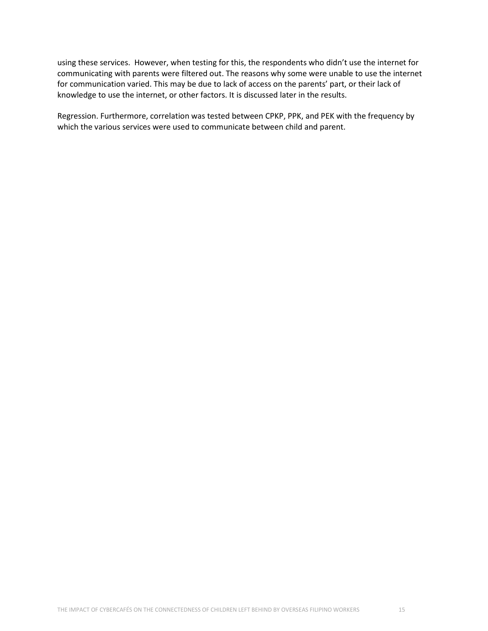using these services. However, when testing for this, the respondents who didn't use the internet for communicating with parents were filtered out. The reasons why some were unable to use the internet for communication varied. This may be due to lack of access on the parents' part, or their lack of knowledge to use the internet, or other factors. It is discussed later in the results.

Regression. Furthermore, correlation was tested between CPKP, PPK, and PEK with the frequency by which the various services were used to communicate between child and parent.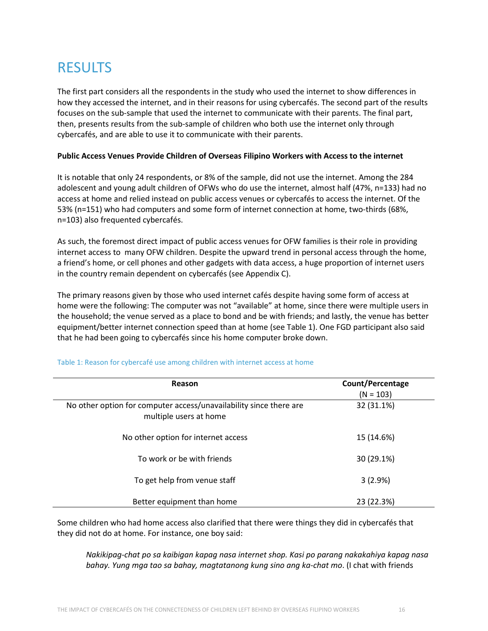## RESULTS

The first part considers all the respondents in the study who used the internet to show differences in how they accessed the internet, and in their reasons for using cybercafés. The second part of the results focuses on the sub-sample that used the internet to communicate with their parents. The final part, then, presents results from the sub-sample of children who both use the internet only through cybercafés, and are able to use it to communicate with their parents.

#### **Public Access Venues Provide Children of Overseas Filipino Workers with Access to the internet**

It is notable that only 24 respondents, or 8% of the sample, did not use the internet. Among the 284 adolescent and young adult children of OFWs who do use the internet, almost half (47%, n=133) had no access at home and relied instead on public access venues or cybercafés to access the internet. Of the 53% (n=151) who had computers and some form of internet connection at home, two-thirds (68%, n=103) also frequented cybercafés.

As such, the foremost direct impact of public access venues for OFW families is their role in providing internet access to many OFW children. Despite the upward trend in personal access through the home, a friend's home, or cell phones and other gadgets with data access, a huge proportion of internet users in the country remain dependent on cybercafés (see Appendix C).

The primary reasons given by those who used internet cafés despite having some form of access at home were the following: The computer was not "available" at home, since there were multiple users in the household; the venue served as a place to bond and be with friends; and lastly, the venue has better equipment/better internet connection speed than at home (see Table 1). One FGD participant also said that he had been going to cybercafés since his home computer broke down.

| Reason                                                                                       | Count/Percentage<br>$(N = 103)$ |
|----------------------------------------------------------------------------------------------|---------------------------------|
| No other option for computer access/unavailability since there are<br>multiple users at home | 32 (31.1%)                      |
| No other option for internet access                                                          | 15 (14.6%)                      |
| To work or be with friends                                                                   | 30 (29.1%)                      |
| To get help from venue staff                                                                 | 3(2.9%)                         |
| Better equipment than home                                                                   | 23 (22.3%)                      |

#### Table 1: Reason for cybercafé use among children with internet access at home

Some children who had home access also clarified that there were things they did in cybercafés that they did not do at home. For instance, one boy said:

*Nakikipag-chat po sa kaibigan kapag nasa internet shop. Kasi po parang nakakahiya kapag nasa bahay. Yung mga tao sa bahay, magtatanong kung sino ang ka-chat mo*. (I chat with friends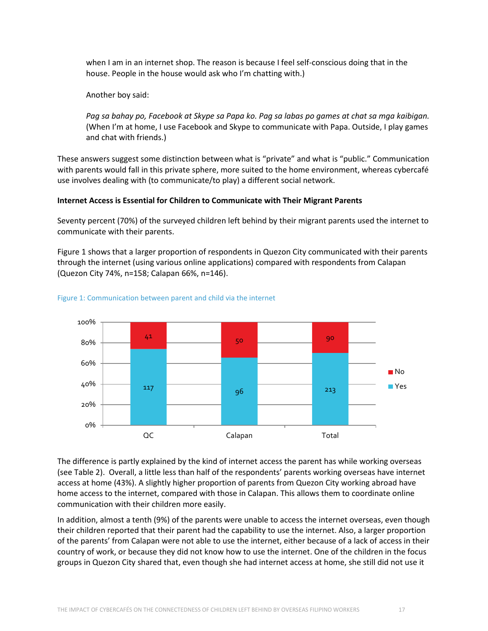when I am in an internet shop. The reason is because I feel self-conscious doing that in the house. People in the house would ask who I'm chatting with.)

Another boy said:

*Pag sa bahay po, Facebook at Skype sa Papa ko. Pag sa labas po games at chat sa mga kaibigan.* (When I'm at home, I use Facebook and Skype to communicate with Papa. Outside, I play games and chat with friends.)

These answers suggest some distinction between what is "private" and what is "public." Communication with parents would fall in this private sphere, more suited to the home environment, whereas cybercafé use involves dealing with (to communicate/to play) a different social network.

### **Internet Access is Essential for Children to Communicate with Their Migrant Parents**

Seventy percent (70%) of the surveyed children left behind by their migrant parents used the internet to communicate with their parents.

Figure 1 shows that a larger proportion of respondents in Quezon City communicated with their parents through the internet (using various online applications) compared with respondents from Calapan (Quezon City 74%, n=158; Calapan 66%, n=146).



#### Figure 1: Communication between parent and child via the internet

The difference is partly explained by the kind of internet access the parent has while working overseas (see Table 2). Overall, a little less than half of the respondents' parents working overseas have internet access at home (43%). A slightly higher proportion of parents from Quezon City working abroad have home access to the internet, compared with those in Calapan. This allows them to coordinate online communication with their children more easily.

In addition, almost a tenth (9%) of the parents were unable to access the internet overseas, even though their children reported that their parent had the capability to use the internet. Also, a larger proportion of the parents' from Calapan were not able to use the internet, either because of a lack of access in their country of work, or because they did not know how to use the internet. One of the children in the focus groups in Quezon City shared that, even though she had internet access at home, she still did not use it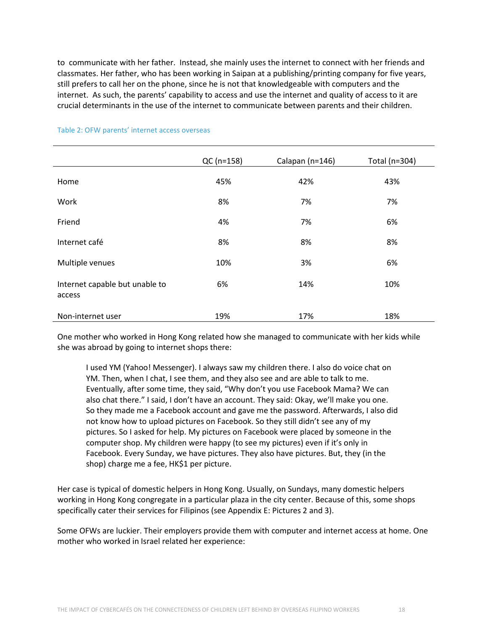to communicate with her father. Instead, she mainly uses the internet to connect with her friends and classmates. Her father, who has been working in Saipan at a publishing/printing company for five years, still prefers to call her on the phone, since he is not that knowledgeable with computers and the internet. As such, the parents' capability to access and use the internet and quality of access to it are crucial determinants in the use of the internet to communicate between parents and their children.

|                                          | QC (n=158) | Calapan (n=146) | Total (n=304) |
|------------------------------------------|------------|-----------------|---------------|
| Home                                     | 45%        | 42%             | 43%           |
| Work                                     | 8%         | 7%              | 7%            |
| Friend                                   | 4%         | 7%              | 6%            |
| Internet café                            | 8%         | 8%              | 8%            |
| Multiple venues                          | 10%        | 3%              | 6%            |
| Internet capable but unable to<br>access | 6%         | 14%             | 10%           |
| Non-internet user                        | 19%        | 17%             | 18%           |

#### Table 2: OFW parents' internet access overseas

One mother who worked in Hong Kong related how she managed to communicate with her kids while she was abroad by going to internet shops there:

I used YM (Yahoo! Messenger). I always saw my children there. I also do voice chat on YM. Then, when I chat, I see them, and they also see and are able to talk to me. Eventually, after some time, they said, "Why don't you use Facebook Mama? We can also chat there." I said, I don't have an account. They said: Okay, we'll make you one. So they made me a Facebook account and gave me the password. Afterwards, I also did not know how to upload pictures on Facebook. So they still didn't see any of my pictures. So I asked for help. My pictures on Facebook were placed by someone in the computer shop. My children were happy (to see my pictures) even if it's only in Facebook. Every Sunday, we have pictures. They also have pictures. But, they (in the shop) charge me a fee, HK\$1 per picture.

Her case is typical of domestic helpers in Hong Kong. Usually, on Sundays, many domestic helpers working in Hong Kong congregate in a particular plaza in the city center. Because of this, some shops specifically cater their services for Filipinos (see Appendix E: Pictures 2 and 3).

Some OFWs are luckier. Their employers provide them with computer and internet access at home. One mother who worked in Israel related her experience: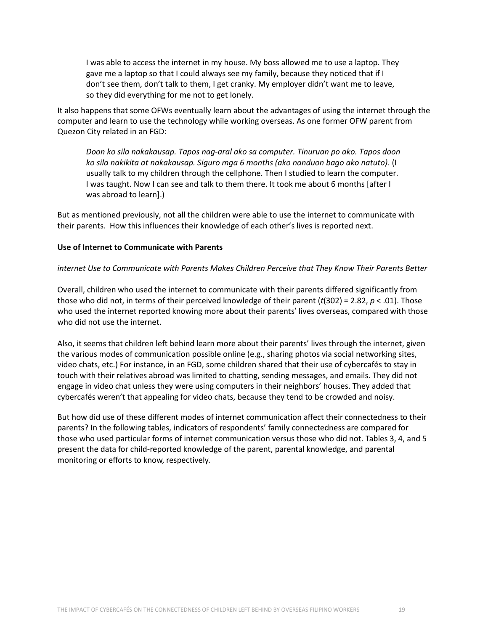I was able to access the internet in my house. My boss allowed me to use a laptop. They gave me a laptop so that I could always see my family, because they noticed that if I don't see them, don't talk to them, I get cranky. My employer didn't want me to leave, so they did everything for me not to get lonely.

It also happens that some OFWs eventually learn about the advantages of using the internet through the computer and learn to use the technology while working overseas. As one former OFW parent from Quezon City related in an FGD:

*Doon ko sila nakakausap. Tapos nag-aral ako sa computer. Tinuruan po ako. Tapos doon ko sila nakikita at nakakausap. Siguro mga 6 months (ako nanduon bago ako natuto)*. (I usually talk to my children through the cellphone. Then I studied to learn the computer. I was taught. Now I can see and talk to them there. It took me about 6 months [after I was abroad to learn].)

But as mentioned previously, not all the children were able to use the internet to communicate with their parents. How this influences their knowledge of each other's lives is reported next.

#### **Use of Internet to Communicate with Parents**

#### *internet Use to Communicate with Parents Makes Children Perceive that They Know Their Parents Better*

Overall, children who used the internet to communicate with their parents differed significantly from those who did not, in terms of their perceived knowledge of their parent (*t*(302) = 2.82, *p* < .01). Those who used the internet reported knowing more about their parents' lives overseas, compared with those who did not use the internet.

Also, it seems that children left behind learn more about their parents' lives through the internet, given the various modes of communication possible online (e.g., sharing photos via social networking sites, video chats, etc.) For instance, in an FGD, some children shared that their use of cybercafés to stay in touch with their relatives abroad was limited to chatting, sending messages, and emails. They did not engage in video chat unless they were using computers in their neighbors' houses. They added that cybercafés weren't that appealing for video chats, because they tend to be crowded and noisy.

But how did use of these different modes of internet communication affect their connectedness to their parents? In the following tables, indicators of respondents' family connectedness are compared for those who used particular forms of internet communication versus those who did not. Tables 3, 4, and 5 present the data for child-reported knowledge of the parent, parental knowledge, and parental monitoring or efforts to know, respectively.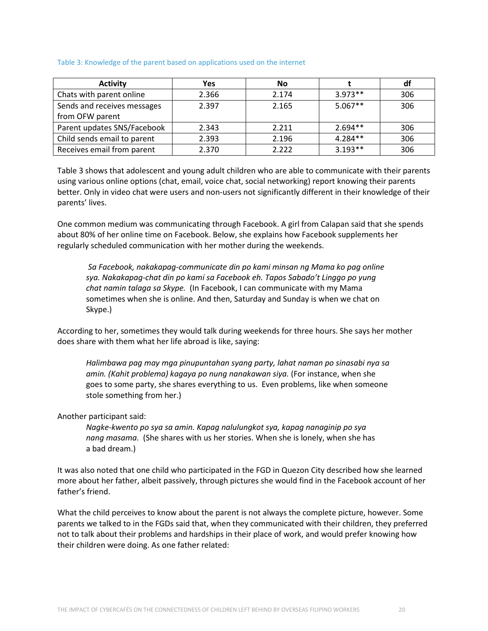#### Table 3: Knowledge of the parent based on applications used on the internet

| <b>Activity</b>             | Yes   | <b>No</b> |           | df  |
|-----------------------------|-------|-----------|-----------|-----|
| Chats with parent online    | 2.366 | 2.174     | $3.973**$ | 306 |
| Sends and receives messages | 2.397 | 2.165     | $5.067**$ | 306 |
| from OFW parent             |       |           |           |     |
| Parent updates SNS/Facebook | 2.343 | 2.211     | $2.694**$ | 306 |
| Child sends email to parent | 2.393 | 2.196     | $4.284**$ | 306 |
| Receives email from parent  | 2.370 | 2.222     | $3.193**$ | 306 |

Table 3 shows that adolescent and young adult children who are able to communicate with their parents using various online options (chat, email, voice chat, social networking) report knowing their parents better. Only in video chat were users and non-users not significantly different in their knowledge of their parents' lives.

One common medium was communicating through Facebook. A girl from Calapan said that she spends about 80% of her online time on Facebook. Below, she explains how Facebook supplements her regularly scheduled communication with her mother during the weekends.

*Sa Facebook, nakakapag-communicate din po kami minsan ng Mama ko pag online sya. Nakakapag-chat din po kami sa Facebook eh. Tapos Sabado't Linggo po yung chat namin talaga sa Skype.* (In Facebook, I can communicate with my Mama sometimes when she is online. And then, Saturday and Sunday is when we chat on Skype.)

According to her, sometimes they would talk during weekends for three hours. She says her mother does share with them what her life abroad is like, saying:

*Halimbawa pag may mga pinupuntahan syang party, lahat naman po sinasabi nya sa amin. (Kahit problema) kagaya po nung nanakawan siya.* (For instance, when she goes to some party, she shares everything to us. Even problems, like when someone stole something from her.)

Another participant said:

*Nagke-kwento po sya sa amin. Kapag nalulungkot sya, kapag nanaginip po sya nang masama.* (She shares with us her stories. When she is lonely, when she has a bad dream.)

It was also noted that one child who participated in the FGD in Quezon City described how she learned more about her father, albeit passively, through pictures she would find in the Facebook account of her father's friend.

What the child perceives to know about the parent is not always the complete picture, however. Some parents we talked to in the FGDs said that, when they communicated with their children, they preferred not to talk about their problems and hardships in their place of work, and would prefer knowing how their children were doing. As one father related: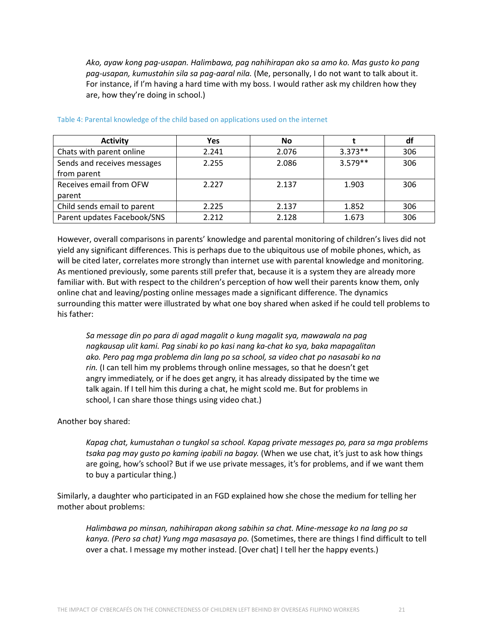*Ako, ayaw kong pag-usapan. Halimbawa, pag nahihirapan ako sa amo ko. Mas gusto ko pang pag-usapan, kumustahin sila sa pag-aaral nila.* (Me, personally, I do not want to talk about it. For instance, if I'm having a hard time with my boss. I would rather ask my children how they are, how they're doing in school.)

| <b>Activity</b>                            | <b>Yes</b> | No    |           | df  |
|--------------------------------------------|------------|-------|-----------|-----|
| Chats with parent online                   | 2.241      | 2.076 | $3.373**$ | 306 |
| Sends and receives messages<br>from parent | 2.255      | 2.086 | $3.579**$ | 306 |
| Receives email from OFW<br>parent          | 2.227      | 2.137 | 1.903     | 306 |
| Child sends email to parent                | 2.225      | 2.137 | 1.852     | 306 |
| Parent updates Facebook/SNS                | 2.212      | 2.128 | 1.673     | 306 |

#### Table 4: Parental knowledge of the child based on applications used on the internet

However, overall comparisons in parents' knowledge and parental monitoring of children's lives did not yield any significant differences. This is perhaps due to the ubiquitous use of mobile phones, which, as will be cited later, correlates more strongly than internet use with parental knowledge and monitoring. As mentioned previously, some parents still prefer that, because it is a system they are already more familiar with. But with respect to the children's perception of how well their parents know them, only online chat and leaving/posting online messages made a significant difference. The dynamics surrounding this matter were illustrated by what one boy shared when asked if he could tell problems to his father:

*Sa message din po para di agad magalit o kung magalit sya, mawawala na pag nagkausap ulit kami. Pag sinabi ko po kasi nang ka-chat ko sya, baka mapagalitan ako. Pero pag mga problema din lang po sa school, sa video chat po nasasabi ko na rin.* (I can tell him my problems through online messages, so that he doesn't get angry immediately, or if he does get angry, it has already dissipated by the time we talk again. If I tell him this during a chat, he might scold me. But for problems in school, I can share those things using video chat.)

#### Another boy shared:

*Kapag chat, kumustahan o tungkol sa school. Kapag private messages po, para sa mga problems tsaka pag may gusto po kaming ipabili na bagay.* (When we use chat, it's just to ask how things are going, how's school? But if we use private messages, it's for problems, and if we want them to buy a particular thing.)

Similarly, a daughter who participated in an FGD explained how she chose the medium for telling her mother about problems:

*Halimbawa po minsan, nahihirapan akong sabihin sa chat. Mine-message ko na lang po sa kanya. (Pero sa chat) Yung mga masasaya po.* (Sometimes, there are things I find difficult to tell over a chat. I message my mother instead. [Over chat] I tell her the happy events.)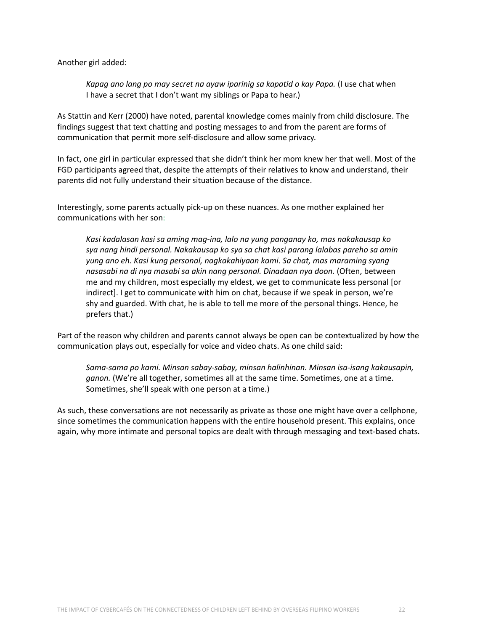Another girl added:

*Kapag ano lang po may secret na ayaw iparinig sa kapatid o kay Papa.* (I use chat when I have a secret that I don't want my siblings or Papa to hear.)

As Stattin and Kerr (2000) have noted, parental knowledge comes mainly from child disclosure. The findings suggest that text chatting and posting messages to and from the parent are forms of communication that permit more self-disclosure and allow some privacy.

In fact, one girl in particular expressed that she didn't think her mom knew her that well. Most of the FGD participants agreed that, despite the attempts of their relatives to know and understand, their parents did not fully understand their situation because of the distance.

Interestingly, some parents actually pick-up on these nuances. As one mother explained her communications with her son:

*Kasi kadalasan kasi sa aming mag-ina, lalo na yung panganay ko, mas nakakausap ko sya nang hindi personal. Nakakausap ko sya sa chat kasi parang lalabas pareho sa amin yung ano eh. Kasi kung personal, nagkakahiyaan kami*. *Sa chat, mas maraming syang nasasabi na di nya masabi sa akin nang personal. Dinadaan nya doon.* (Often, between me and my children, most especially my eldest, we get to communicate less personal [or indirect]. I get to communicate with him on chat, because if we speak in person, we're shy and guarded. With chat, he is able to tell me more of the personal things. Hence, he prefers that.)

Part of the reason why children and parents cannot always be open can be contextualized by how the communication plays out, especially for voice and video chats. As one child said:

*Sama-sama po kami. Minsan sabay-sabay, minsan halinhinan. Minsan isa-isang kakausapin, ganon.* (We're all together, sometimes all at the same time. Sometimes, one at a time. Sometimes, she'll speak with one person at a time.)

As such, these conversations are not necessarily as private as those one might have over a cellphone, since sometimes the communication happens with the entire household present. This explains, once again, why more intimate and personal topics are dealt with through messaging and text-based chats.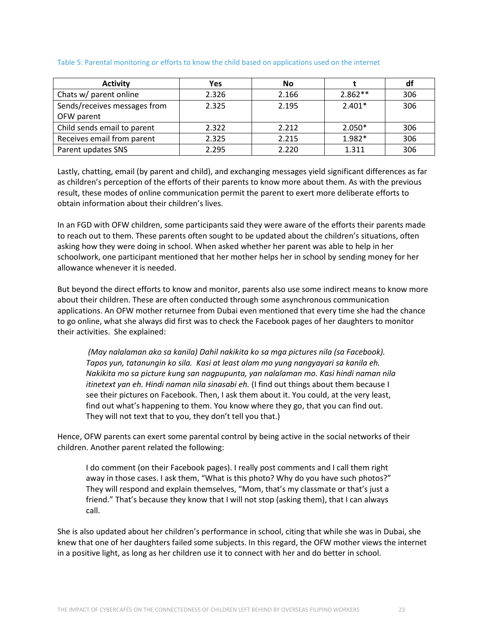| <b>Activity</b>              | Yes   | No    |           | df  |
|------------------------------|-------|-------|-----------|-----|
| Chats w/ parent online       | 2.326 | 2.166 | $2.862**$ | 306 |
| Sends/receives messages from | 2.325 | 2.195 | $2.401*$  | 306 |
| OFW parent                   |       |       |           |     |
| Child sends email to parent  | 2.322 | 2.212 | $2.050*$  | 306 |
| Receives email from parent   | 2.325 | 2.215 | 1.982*    | 306 |
| Parent updates SNS           | 2.295 | 2.220 | 1.311     | 306 |

#### Table 5: Parental monitoring or efforts to know the child based on applications used on the internet

Lastly, chatting, email (by parent and child), and exchanging messages yield significant differences as far as children's perception of the efforts of their parents to know more about them. As with the previous result, these modes of online communication permit the parent to exert more deliberate efforts to obtain information about their children's lives.

In an FGD with OFW children, some participants said they were aware of the efforts their parents made to reach out to them. These parents often sought to be updated about the children's situations, often asking how they were doing in school. When asked whether her parent was able to help in her schoolwork, one participant mentioned that her mother helps her in school by sending money for her allowance whenever it is needed.

But beyond the direct efforts to know and monitor, parents also use some indirect means to know more about their children. These are often conducted through some asynchronous communication applications. An OFW mother returnee from Dubai even mentioned that every time she had the chance to go online, what she always did first was to check the Facebook pages of her daughters to monitor their activities. She explained:

*(May nalalaman ako sa kanila) Dahil nakikita ko sa mga pictures nila (sa Facebook). Tapos yun, tatanungin ko sila. Kasi at least alam mo yung nangyayari sa kanila eh. Nakikita mo sa picture kung san nagpupunta, yan nalalaman mo. Kasi hindi naman nila itinetext yan eh. Hindi naman nila sinasabi eh.* (I find out things about them because I see their pictures on Facebook. Then, I ask them about it. You could, at the very least, find out what's happening to them. You know where they go, that you can find out. They will not text that to you, they don't tell you that.)

Hence, OFW parents can exert some parental control by being active in the social networks of their children. Another parent related the following:

I do comment (on their Facebook pages). I really post comments and I call them right away in those cases. I ask them, "What is this photo? Why do you have such photos?" They will respond and explain themselves, "Mom, that's my classmate or that's just a friend." That's because they know that I will not stop (asking them), that I can always call.

She is also updated about her children's performance in school, citing that while she was in Dubai, she knew that one of her daughters failed some subjects. In this regard, the OFW mother views the internet in a positive light, as long as her children use it to connect with her and do better in school.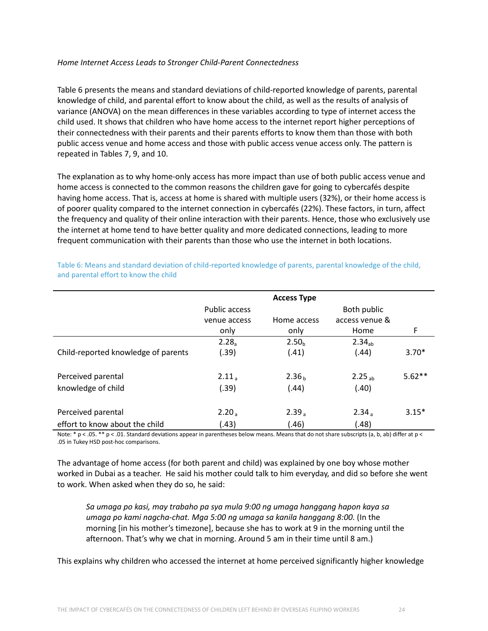#### *Home Internet Access Leads to Stronger Child-Parent Connectedness*

Table 6 presents the means and standard deviations of child-reported knowledge of parents, parental knowledge of child, and parental effort to know about the child, as well as the results of analysis of variance (ANOVA) on the mean differences in these variables according to type of internet access the child used. It shows that children who have home access to the internet report higher perceptions of their connectedness with their parents and their parents efforts to know them than those with both public access venue and home access and those with public access venue access only. The pattern is repeated in Tables 7, 9, and 10.

The explanation as to why home-only access has more impact than use of both public access venue and home access is connected to the common reasons the children gave for going to cybercafés despite having home access. That is, access at home is shared with multiple users (32%), or their home access is of poorer quality compared to the internet connection in cybercafés (22%). These factors, in turn, affect the frequency and quality of their online interaction with their parents. Hence, those who exclusively use the internet at home tend to have better quality and more dedicated connections, leading to more frequent communication with their parents than those who use the internet in both locations.

|                                     |               | <b>Access Type</b> |                    |          |
|-------------------------------------|---------------|--------------------|--------------------|----------|
|                                     | Public access |                    | Both public        |          |
|                                     | venue access  | Home access        | access venue &     |          |
|                                     | only          | only               | Home               | F        |
|                                     | $2.28_a$      | 2.50 <sub>h</sub>  | 2.34 <sub>ah</sub> |          |
| Child-reported knowledge of parents | (.39)         | (.41)              | (.44)              | $3.70*$  |
| Perceived parental                  | $2.11_a$      | 2.36 <sub>b</sub>  | $2.25_{ab}$        | $5.62**$ |
| knowledge of child                  | (.39)         | (.44)              | (.40)              |          |
| Perceived parental                  | $2.20_a$      | 2.39 <sub>a</sub>  | $2.34_a$           | $3.15*$  |
| effort to know about the child      | (.43)         | (.46)              | (.48)              |          |

Table 6: Means and standard deviation of child-reported knowledge of parents, parental knowledge of the child, and parental effort to know the child

Note: \* p < .05. \*\* p < .01. Standard deviations appear in parentheses below means. Means that do not share subscripts (a, b, ab) differ at p < .05 in Tukey HSD post-hoc comparisons.

The advantage of home access (for both parent and child) was explained by one boy whose mother worked in Dubai as a teacher. He said his mother could talk to him everyday, and did so before she went to work. When asked when they do so, he said:

*Sa umaga po kasi, may trabaho pa sya mula 9:00 ng umaga hanggang hapon kaya sa umaga po kami nagcha-chat. Mga 5:00 ng umaga sa kanila hanggang 8:00.* (In the morning [in his mother's timezone], because she has to work at 9 in the morning until the afternoon. That's why we chat in morning. Around 5 am in their time until 8 am.)

This explains why children who accessed the internet at home perceived significantly higher knowledge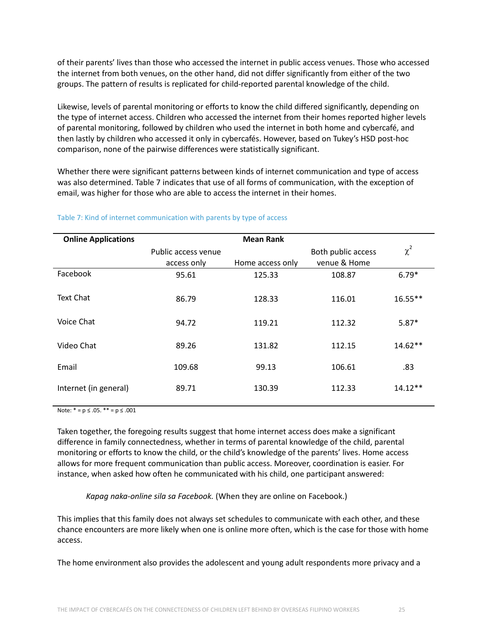of their parents' lives than those who accessed the internet in public access venues. Those who accessed the internet from both venues, on the other hand, did not differ significantly from either of the two groups. The pattern of results is replicated for child-reported parental knowledge of the child.

Likewise, levels of parental monitoring or efforts to know the child differed significantly, depending on the type of internet access. Children who accessed the internet from their homes reported higher levels of parental monitoring, followed by children who used the internet in both home and cybercafé, and then lastly by children who accessed it only in cybercafés. However, based on Tukey's HSD post-hoc comparison, none of the pairwise differences were statistically significant.

Whether there were significant patterns between kinds of internet communication and type of access was also determined. Table 7 indicates that use of all forms of communication, with the exception of email, was higher for those who are able to access the internet in their homes.

| <b>Online Applications</b> |                     | <b>Mean Rank</b> |                    |           |
|----------------------------|---------------------|------------------|--------------------|-----------|
|                            | Public access venue |                  | Both public access | $\chi^2$  |
|                            | access only         | Home access only | venue & Home       |           |
| Facebook                   | 95.61               | 125.33           | 108.87             | $6.79*$   |
| Text Chat                  | 86.79               | 128.33           | 116.01             | $16.55**$ |
| Voice Chat                 | 94.72               | 119.21           | 112.32             | $5.87*$   |
| Video Chat                 | 89.26               | 131.82           | 112.15             | $14.62**$ |
| Email                      | 109.68              | 99.13            | 106.61             | .83       |
| Internet (in general)      | 89.71               | 130.39           | 112.33             | $14.12**$ |
|                            |                     |                  |                    |           |

#### Table 7: Kind of internet communication with parents by type of access

Note:  $* = p \le .05$ .  $** = p \le .001$ 

Taken together, the foregoing results suggest that home internet access does make a significant difference in family connectedness, whether in terms of parental knowledge of the child, parental monitoring or efforts to know the child, or the child's knowledge of the parents' lives. Home access allows for more frequent communication than public access. Moreover, coordination is easier. For instance, when asked how often he communicated with his child, one participant answered:

*Kapag naka-online sila sa Facebook.* (When they are online on Facebook.)

This implies that this family does not always set schedules to communicate with each other, and these chance encounters are more likely when one is online more often, which is the case for those with home access.

The home environment also provides the adolescent and young adult respondents more privacy and a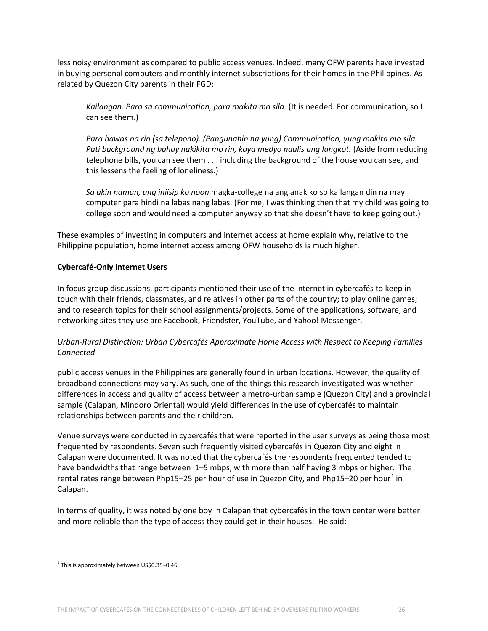less noisy environment as compared to public access venues. Indeed, many OFW parents have invested in buying personal computers and monthly internet subscriptions for their homes in the Philippines. As related by Quezon City parents in their FGD:

*Kailangan. Para sa communication, para makita mo sila.* (It is needed. For communication, so I can see them.)

*Para bawas na rin (sa telepono). (Pangunahin na yung) Communication, yung makita mo sila. Pati background ng bahay nakikita mo rin, kaya medyo naalis ang lungkot.* (Aside from reducing telephone bills, you can see them . . . including the background of the house you can see, and this lessens the feeling of loneliness.)

*Sa akin naman, ang iniisip ko noon* magka-college na ang anak ko so kailangan din na may computer para hindi na labas nang labas. (For me, I was thinking then that my child was going to college soon and would need a computer anyway so that she doesn't have to keep going out.)

These examples of investing in computers and internet access at home explain why, relative to the Philippine population, home internet access among OFW households is much higher.

### **Cybercafé-Only Internet Users**

In focus group discussions, participants mentioned their use of the internet in cybercafés to keep in touch with their friends, classmates, and relatives in other parts of the country; to play online games; and to research topics for their school assignments/projects. Some of the applications, software, and networking sites they use are Facebook, Friendster, YouTube, and Yahoo! Messenger.

### *Urban-Rural Distinction: Urban Cybercafés Approximate Home Access with Respect to Keeping Families Connected*

public access venues in the Philippines are generally found in urban locations. However, the quality of broadband connections may vary. As such, one of the things this research investigated was whether differences in access and quality of access between a metro-urban sample (Quezon City) and a provincial sample (Calapan, Mindoro Oriental) would yield differences in the use of cybercafés to maintain relationships between parents and their children.

Venue surveys were conducted in cybercafés that were reported in the user surveys as being those most frequented by respondents. Seven such frequently visited cybercafés in Quezon City and eight in Calapan were documented. It was noted that the cybercafés the respondents frequented tended to have bandwidths that range between 1–5 mbps, with more than half having 3 mbps or higher. The rental rates range between Php[1](#page-25-0)5–25 per hour of use in Quezon City, and Php15–20 per hour<sup>1</sup> in Calapan.

In terms of quality, it was noted by one boy in Calapan that cybercafés in the town center were better and more reliable than the type of access they could get in their houses. He said:

<span id="page-25-0"></span> $1$  This is approximately between US\$0.35-0.46.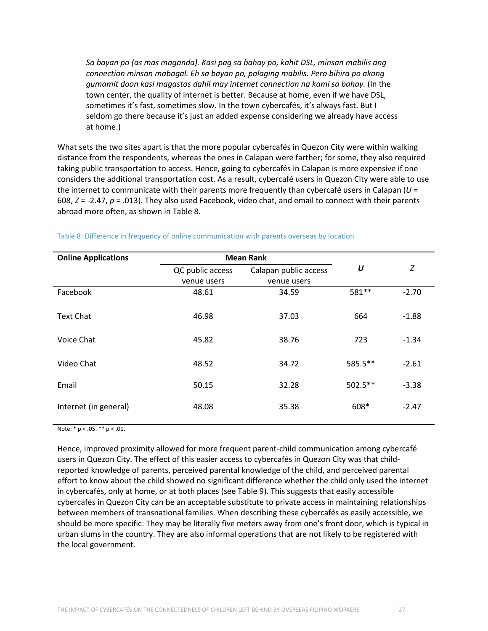*Sa bayan po (as mas maganda). Kasi pag sa bahay po, kahit DSL, minsan mabilis ang connection minsan mabagal. Eh sa bayan po, palaging mabilis. Pero bihira po akong gumamit doon kasi magastos dahil may internet connection na kami sa bahay.* (In the town center, the quality of internet is better. Because at home, even if we have DSL, sometimes it's fast, sometimes slow. In the town cybercafés, it's always fast. But I seldom go there because it's just an added expense considering we already have access at home.)

What sets the two sites apart is that the more popular cybercafés in Quezon City were within walking distance from the respondents, whereas the ones in Calapan were farther; for some, they also required taking public transportation to access. Hence, going to cybercafés in Calapan is more expensive if one considers the additional transportation cost. As a result, cybercafé users in Quezon City were able to use the internet to communicate with their parents more frequently than cybercafé users in Calapan (*U* = 608, *Z* = -2.47, *p* = .013). They also used Facebook, video chat, and email to connect with their parents abroad more often, as shown in Table 8.

| <b>Online Applications</b> | <b>Mean Rank</b> |                       |                  |         |
|----------------------------|------------------|-----------------------|------------------|---------|
|                            | QC public access | Calapan public access | $\boldsymbol{U}$ | Ζ       |
|                            | venue users      | venue users           |                  |         |
| Facebook                   | 48.61            | 34.59                 | 581 **           | $-2.70$ |
| <b>Text Chat</b>           | 46.98            | 37.03                 | 664              | $-1.88$ |
| Voice Chat                 | 45.82            | 38.76                 | 723              | $-1.34$ |
| Video Chat                 | 48.52            | 34.72                 | 585.5**          | $-2.61$ |
| Email                      | 50.15            | 32.28                 | $502.5***$       | $-3.38$ |
| Internet (in general)      | 48.08            | 35.38                 | 608*             | $-2.47$ |

#### Table 8: Difference in frequency of online communication with parents overseas by location

Note:  $* p < .05. ** p < .01.$ 

Hence, improved proximity allowed for more frequent parent-child communication among cybercafé users in Quezon City. The effect of this easier access to cybercafés in Quezon City was that childreported knowledge of parents, perceived parental knowledge of the child, and perceived parental effort to know about the child showed no significant difference whether the child only used the internet in cybercafés, only at home, or at both places (see Table 9). This suggests that easily accessible cybercafés in Quezon City can be an acceptable substitute to private access in maintaining relationships between members of transnational families. When describing these cybercafés as easily accessible, we should be more specific: They may be literally five meters away from one's front door, which is typical in urban slums in the country. They are also informal operations that are not likely to be registered with the local government.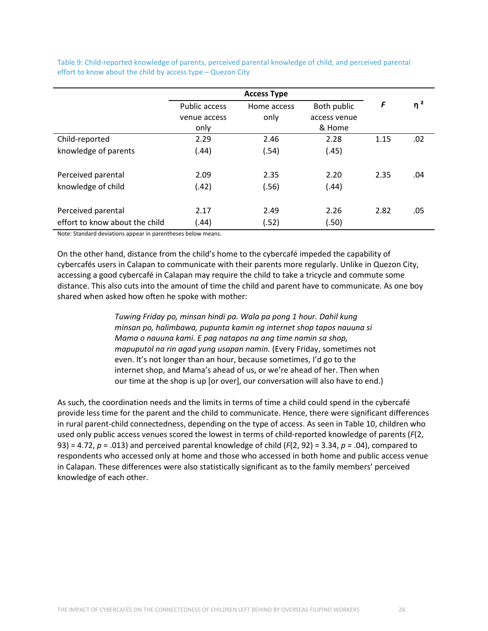Table 9: Child-reported knowledge of parents, perceived parental knowledge of child, and perceived parental effort to know about the child by access type – Quezon City

|                                | <b>Access Type</b>   |             |              |      |          |
|--------------------------------|----------------------|-------------|--------------|------|----------|
|                                | <b>Public access</b> | Home access | Both public  | F    | $\eta^2$ |
|                                | venue access         | only        | access venue |      |          |
|                                | only                 |             | & Home       |      |          |
| Child-reported                 | 2.29                 | 2.46        | 2.28         | 1.15 | .02      |
| knowledge of parents           | (.44)                | (.54)       | (.45)        |      |          |
| Perceived parental             | 2.09                 | 2.35        | 2.20         | 2.35 | .04      |
| knowledge of child             | (.42)                | (.56)       | (.44)        |      |          |
| Perceived parental             | 2.17                 | 2.49        | 2.26         | 2.82 | .05      |
| effort to know about the child | (.44)                | (.52)       | (.50)        |      |          |

Note: Standard deviations appear in parentheses below means.

On the other hand, distance from the child's home to the cybercafé impeded the capability of cybercafés users in Calapan to communicate with their parents more regularly. Unlike in Quezon City, accessing a good cybercafé in Calapan may require the child to take a tricycle and commute some distance. This also cuts into the amount of time the child and parent have to communicate. As one boy shared when asked how often he spoke with mother:

> *Tuwing Friday po, minsan hindi pa. Wala pa pong 1 hour. Dahil kung minsan po, halimbawa, pupunta kamin ng internet shop tapos nauuna si Mama o nauuna kami. E pag natapos na ang time namin sa shop, mapuputol na rin agad yung usapan namin.* (Every Friday, sometimes not even. It's not longer than an hour, because sometimes, I'd go to the internet shop, and Mama's ahead of us, or we're ahead of her. Then when our time at the shop is up [or over], our conversation will also have to end.)

As such, the coordination needs and the limits in terms of time a child could spend in the cybercafé provide less time for the parent and the child to communicate. Hence, there were significant differences in rural parent-child connectedness, depending on the type of access. As seen in Table 10, children who used only public access venues scored the lowest in terms of child-reported knowledge of parents (*F*(2, 93) = 4.72, *p* = .013) and perceived parental knowledge of child (*F*(2, 92) = 3.34, *p =* .04), compared to respondents who accessed only at home and those who accessed in both home and public access venue in Calapan. These differences were also statistically significant as to the family members' perceived knowledge of each other.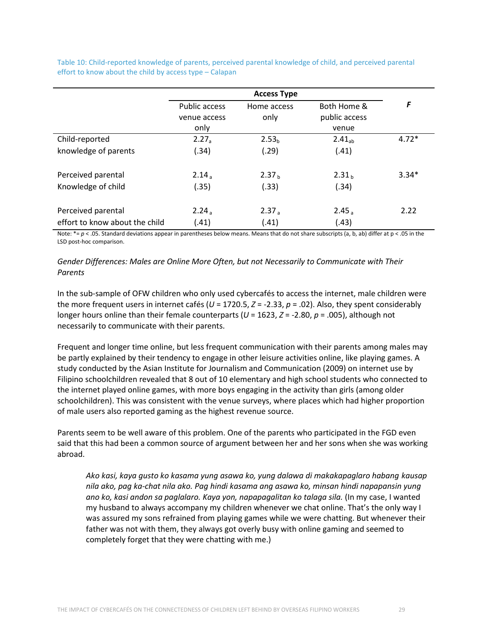Table 10: Child-reported knowledge of parents, perceived parental knowledge of child, and perceived parental effort to know about the child by access type – Calapan

|                                | <b>Access Type</b>   |                   |                    |         |
|--------------------------------|----------------------|-------------------|--------------------|---------|
|                                | <b>Public access</b> | Home access       | Both Home &        | F       |
|                                | venue access         | only              | public access      |         |
|                                | only                 |                   | venue              |         |
| Child-reported                 | $2.27_a$             | 2.53 <sub>b</sub> | 2.41 <sub>ab</sub> | $4.72*$ |
| knowledge of parents           | (.34)                | (.29)             | (.41)              |         |
| Perceived parental             | $2.14_a$             | 2.37 <sub>b</sub> | 2.31 <sub>b</sub>  | $3.34*$ |
| Knowledge of child             | (.35)                | (.33)             | (.34)              |         |
| Perceived parental             | $2.24_a$             | 2.37 <sub>a</sub> | 2.45 <sub>a</sub>  | 2.22    |
| effort to know about the child | (.41)                | (.41)             | (.43)              |         |

Note:  $*_p$  < .05. Standard deviations appear in parentheses below means. Means that do not share subscripts (a, b, ab) differ at p < .05 in the LSD post-hoc comparison.

#### *Gender Differences: Males are Online More Often, but not Necessarily to Communicate with Their Parents*

In the sub-sample of OFW children who only used cybercafés to access the internet, male children were the more frequent users in internet cafés (*U* = 1720.5, *Z* = -2.33, *p* = .02). Also, they spent considerably longer hours online than their female counterparts (*U* = 1623, *Z* = -2.80, *p* = .005), although not necessarily to communicate with their parents.

Frequent and longer time online, but less frequent communication with their parents among males may be partly explained by their tendency to engage in other leisure activities online, like playing games. A study conducted by the Asian Institute for Journalism and Communication (2009) on internet use by Filipino schoolchildren revealed that 8 out of 10 elementary and high school students who connected to the internet played online games, with more boys engaging in the activity than girls (among older schoolchildren). This was consistent with the venue surveys, where places which had higher proportion of male users also reported gaming as the highest revenue source.

Parents seem to be well aware of this problem. One of the parents who participated in the FGD even said that this had been a common source of argument between her and her sons when she was working abroad.

*Ako kasi, kaya gusto ko kasama yung asawa ko, yung dalawa di makakapaglaro habang kausap nila ako, pag ka-chat nila ako. Pag hindi kasama ang asawa ko, minsan hindi napapansin yung ano ko, kasi andon sa paglalaro. Kaya yon, napapagalitan ko talaga sila.* (In my case, I wanted my husband to always accompany my children whenever we chat online. That's the only way I was assured my sons refrained from playing games while we were chatting. But whenever their father was not with them, they always got overly busy with online gaming and seemed to completely forget that they were chatting with me.)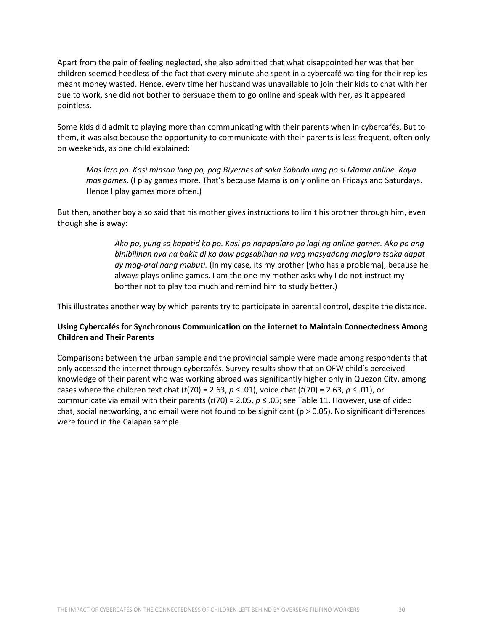Apart from the pain of feeling neglected, she also admitted that what disappointed her was that her children seemed heedless of the fact that every minute she spent in a cybercafé waiting for their replies meant money wasted. Hence, every time her husband was unavailable to join their kids to chat with her due to work, she did not bother to persuade them to go online and speak with her, as it appeared pointless.

Some kids did admit to playing more than communicating with their parents when in cybercafés. But to them, it was also because the opportunity to communicate with their parents is less frequent, often only on weekends, as one child explained:

*Mas laro po. Kasi minsan lang po, pag Biyernes at saka Sabado lang po si Mama online. Kaya mas games*. (I play games more. That's because Mama is only online on Fridays and Saturdays. Hence I play games more often.)

But then, another boy also said that his mother gives instructions to limit his brother through him, even though she is away:

> *Ako po, yung sa kapatid ko po. Kasi po napapalaro po lagi ng online games. Ako po ang binibilinan nya na bakit di ko daw pagsabihan na wag masyadong maglaro tsaka dapat ay mag-aral nang mabuti.* (In my case, its my brother [who has a problema], because he always plays online games. I am the one my mother asks why I do not instruct my borther not to play too much and remind him to study better.)

This illustrates another way by which parents try to participate in parental control, despite the distance.

### **Using Cybercafés for Synchronous Communication on the internet to Maintain Connectedness Among Children and Their Parents**

Comparisons between the urban sample and the provincial sample were made among respondents that only accessed the internet through cybercafés. Survey results show that an OFW child's perceived knowledge of their parent who was working abroad was significantly higher only in Quezon City, among cases where the children text chat (*t*(70) = 2.63, *p* ≤ .01), voice chat (*t*(70) = 2.63, *p* ≤ .01), or communicate via email with their parents ( $t(70) = 2.05$ ,  $p \le .05$ ; see Table 11. However, use of video chat, social networking, and email were not found to be significant ( $p > 0.05$ ). No significant differences were found in the Calapan sample.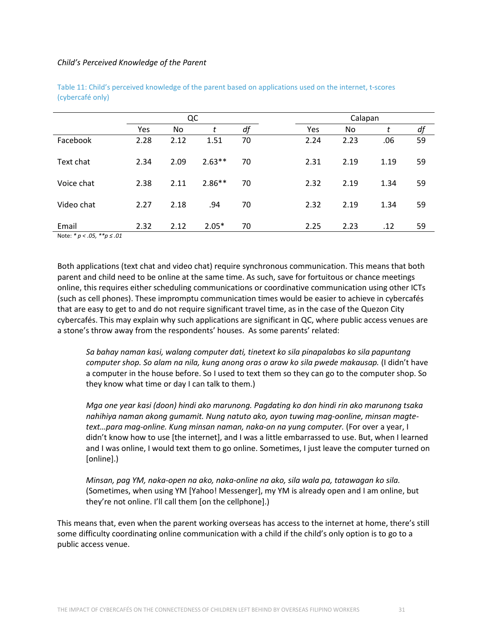#### *Child's Perceived Knowledge of the Parent*

|            | QC   |      |          |    | Calapan |      |      |    |  |  |
|------------|------|------|----------|----|---------|------|------|----|--|--|
|            | Yes  | No.  | t        | df | Yes     | No.  | t    | df |  |  |
| Facebook   | 2.28 | 2.12 | 1.51     | 70 | 2.24    | 2.23 | .06  | 59 |  |  |
| Text chat  | 2.34 | 2.09 | $2.63**$ | 70 | 2.31    | 2.19 | 1.19 | 59 |  |  |
| Voice chat | 2.38 | 2.11 | $2.86**$ | 70 | 2.32    | 2.19 | 1.34 | 59 |  |  |
| Video chat | 2.27 | 2.18 | .94      | 70 | 2.32    | 2.19 | 1.34 | 59 |  |  |
| Email      | 2.32 | 2.12 | $2.05*$  | 70 | 2.25    | 2.23 | .12  | 59 |  |  |

Table 11: Child's perceived knowledge of the parent based on applications used on the internet, t-scores (cybercafé only)

Note: *\* p < .05, \*\*p ≤ .01*

Both applications (text chat and video chat) require synchronous communication. This means that both parent and child need to be online at the same time. As such, save for fortuitous or chance meetings online, this requires either scheduling communications or coordinative communication using other ICTs (such as cell phones). These impromptu communication times would be easier to achieve in cybercafés that are easy to get to and do not require significant travel time, as in the case of the Quezon City cybercafés. This may explain why such applications are significant in QC, where public access venues are a stone's throw away from the respondents' houses. As some parents' related:

*Sa bahay naman kasi, walang computer dati, tinetext ko sila pinapalabas ko sila papuntang computer shop. So alam na nila, kung anong oras o araw ko sila pwede makausap.* (I didn't have a computer in the house before. So I used to text them so they can go to the computer shop. So they know what time or day I can talk to them.)

*Mga one year kasi (doon) hindi ako marunong. Pagdating ko don hindi rin ako marunong tsaka nahihiya naman akong gumamit. Nung natuto ako, ayon tuwing mag-oonline, minsan magtetext…para mag-online. Kung minsan naman, naka-on na yung computer.* (For over a year, I didn't know how to use [the internet], and I was a little embarrassed to use. But, when I learned and I was online, I would text them to go online. Sometimes, I just leave the computer turned on [online].)

*Minsan, pag YM, naka-open na ako, naka-online na ako, sila wala pa, tatawagan ko sila.* (Sometimes, when using YM [Yahoo! Messenger], my YM is already open and I am online, but they're not online. I'll call them [on the cellphone].)

This means that, even when the parent working overseas has access to the internet at home, there's still some difficulty coordinating online communication with a child if the child's only option is to go to a public access venue.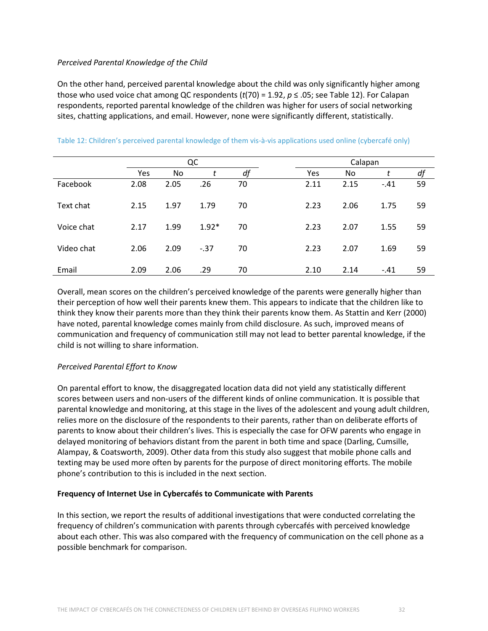### *Perceived Parental Knowledge of the Child*

On the other hand, perceived parental knowledge about the child was only significantly higher among those who used voice chat among QC respondents ( $t(70) = 1.92$ ,  $p \le .05$ ; see Table 12). For Calapan respondents, reported parental knowledge of the children was higher for users of social networking sites, chatting applications, and email. However, none were significantly different, statistically.

|            | QC   |                |         |    | Calapan |      |        |    |  |  |
|------------|------|----------------|---------|----|---------|------|--------|----|--|--|
|            | Yes  | N <sub>o</sub> | t       | df | Yes     | No.  | t      | df |  |  |
| Facebook   | 2.08 | 2.05           | .26     | 70 | 2.11    | 2.15 | $-.41$ | 59 |  |  |
| Text chat  | 2.15 | 1.97           | 1.79    | 70 | 2.23    | 2.06 | 1.75   | 59 |  |  |
| Voice chat | 2.17 | 1.99           | $1.92*$ | 70 | 2.23    | 2.07 | 1.55   | 59 |  |  |
| Video chat | 2.06 | 2.09           | $-37$   | 70 | 2.23    | 2.07 | 1.69   | 59 |  |  |
| Email      | 2.09 | 2.06           | .29     | 70 | 2.10    | 2.14 | $-.41$ | 59 |  |  |

#### Table 12: Children's perceived parental knowledge of them vis-à-vis applications used online (cybercafé only)

Overall, mean scores on the children's perceived knowledge of the parents were generally higher than their perception of how well their parents knew them. This appears to indicate that the children like to think they know their parents more than they think their parents know them. As Stattin and Kerr (2000) have noted, parental knowledge comes mainly from child disclosure. As such, improved means of communication and frequency of communication still may not lead to better parental knowledge, if the child is not willing to share information.

### *Perceived Parental Effort to Know*

On parental effort to know, the disaggregated location data did not yield any statistically different scores between users and non-users of the different kinds of online communication. It is possible that parental knowledge and monitoring, at this stage in the lives of the adolescent and young adult children, relies more on the disclosure of the respondents to their parents, rather than on deliberate efforts of parents to know about their children's lives. This is especially the case for OFW parents who engage in delayed monitoring of behaviors distant from the parent in both time and space (Darling, Cumsille, Alampay, & Coatsworth, 2009). Other data from this study also suggest that mobile phone calls and texting may be used more often by parents for the purpose of direct monitoring efforts. The mobile phone's contribution to this is included in the next section.

#### **Frequency of Internet Use in Cybercafés to Communicate with Parents**

In this section, we report the results of additional investigations that were conducted correlating the frequency of children's communication with parents through cybercafés with perceived knowledge about each other. This was also compared with the frequency of communication on the cell phone as a possible benchmark for comparison.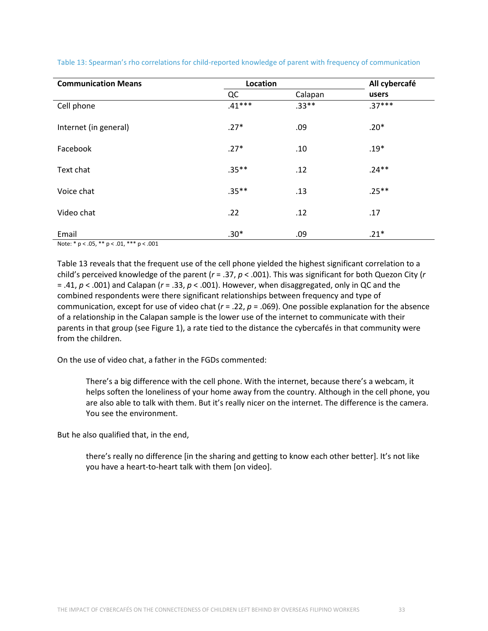| <b>Communication Means</b> | Location |         | All cybercafé<br>users |  |
|----------------------------|----------|---------|------------------------|--|
|                            | QC       | Calapan |                        |  |
| Cell phone                 | $.41***$ | $.33**$ | $.37***$               |  |
| Internet (in general)      | $.27*$   | .09     | $.20*$                 |  |
| Facebook                   | $.27*$   | .10     | $.19*$                 |  |
| Text chat                  | $.35***$ | .12     | $.24**$                |  |
| Voice chat                 | $.35***$ | .13     | $.25***$               |  |
| Video chat                 | .22      | .12     | .17                    |  |
| Email                      | $.30*$   | .09     | $.21*$                 |  |

Table 13: Spearman's rho correlations for child-reported knowledge of parent with frequency of communication

Note: \* p < .05, \*\* p < .01, \*\*\* p < .001

Table 13 reveals that the frequent use of the cell phone yielded the highest significant correlation to a child's perceived knowledge of the parent (*r* = .37, *p* < .001). This was significant for both Quezon City (*r* = .41, *p* < .001) and Calapan (*r* = .33, *p* < .001). However, when disaggregated, only in QC and the combined respondents were there significant relationships between frequency and type of communication, except for use of video chat (*r* = .22, *p* = .069). One possible explanation for the absence of a relationship in the Calapan sample is the lower use of the internet to communicate with their parents in that group (see Figure 1), a rate tied to the distance the cybercafés in that community were from the children.

On the use of video chat, a father in the FGDs commented:

There's a big difference with the cell phone. With the internet, because there's a webcam, it helps soften the loneliness of your home away from the country. Although in the cell phone, you are also able to talk with them. But it's really nicer on the internet. The difference is the camera. You see the environment.

But he also qualified that, in the end,

there's really no difference [in the sharing and getting to know each other better]. It's not like you have a heart-to-heart talk with them [on video].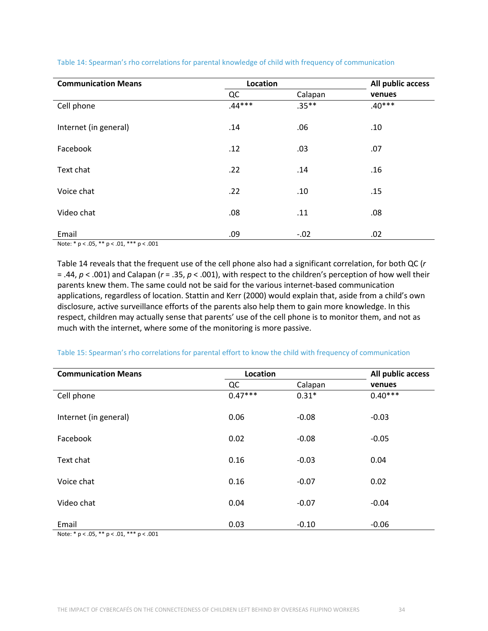| <b>Communication Means</b>                           | Location | All public access |          |
|------------------------------------------------------|----------|-------------------|----------|
|                                                      | QC       | Calapan           | venues   |
| Cell phone                                           | $.44***$ | $.35***$          | $.40***$ |
| Internet (in general)                                | .14      | .06               | .10      |
| Facebook                                             | .12      | .03               | .07      |
| Text chat                                            | .22      | .14               | .16      |
| Voice chat                                           | .22      | .10               | .15      |
| Video chat                                           | .08      | .11               | .08      |
| Email<br>$N = 4$ , $N = 4$ , $N = 1004$ , $N = 1004$ | .09      | $-.02$            | .02      |

#### Table 14: Spearman's rho correlations for parental knowledge of child with frequency of communication

Note: \* p < .05, \*\* p < .01, \*\*\* p < .001

Table 14 reveals that the frequent use of the cell phone also had a significant correlation, for both QC (*r* = .44, *p* < .001) and Calapan (*r* = .35, *p* < .001), with respect to the children's perception of how well their parents knew them. The same could not be said for the various internet-based communication applications, regardless of location. Stattin and Kerr (2000) would explain that, aside from a child's own disclosure, active surveillance efforts of the parents also help them to gain more knowledge. In this respect, children may actually sense that parents' use of the cell phone is to monitor them, and not as much with the internet, where some of the monitoring is more passive.

#### Table 15: Spearman's rho correlations for parental effort to know the child with frequency of communication

| <b>Communication Means</b>            | <b>Location</b> |         | All public access |
|---------------------------------------|-----------------|---------|-------------------|
|                                       | QC              | Calapan | venues            |
| Cell phone                            | $0.47***$       | $0.31*$ | $0.40***$         |
| Internet (in general)                 | 0.06            | $-0.08$ | $-0.03$           |
| Facebook                              | 0.02            | $-0.08$ | $-0.05$           |
| Text chat                             | 0.16            | $-0.03$ | 0.04              |
| Voice chat                            | 0.16            | $-0.07$ | 0.02              |
| Video chat                            | 0.04            | $-0.07$ | $-0.04$           |
| Email<br>and the contract of the con- | 0.03            | $-0.10$ | $-0.06$           |

Note: \* p < .05, \*\* p < .01, \*\*\* p < .001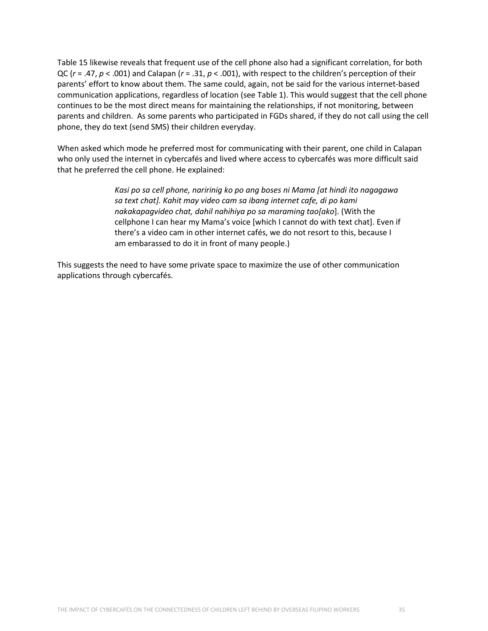Table 15 likewise reveals that frequent use of the cell phone also had a significant correlation, for both QC (*r* = .47, *p* < .001) and Calapan (*r* = .31, *p* < .001), with respect to the children's perception of their parents' effort to know about them. The same could, again, not be said for the various internet-based communication applications, regardless of location (see Table 1). This would suggest that the cell phone continues to be the most direct means for maintaining the relationships, if not monitoring, between parents and children. As some parents who participated in FGDs shared, if they do not call using the cell phone, they do text (send SMS) their children everyday.

When asked which mode he preferred most for communicating with their parent, one child in Calapan who only used the internet in cybercafés and lived where access to cybercafés was more difficult said that he preferred the cell phone. He explained:

> *Kasi po sa cell phone, naririnig ko po ang boses ni Mama [at hindi ito nagagawa sa text chat]. Kahit may video cam sa ibang internet cafe, di po kami nakakapagvideo chat, dahil nahihiya po sa maraming tao[ako*]. (With the cellphone I can hear my Mama's voice [which I cannot do with text chat]. Even if there's a video cam in other internet cafés, we do not resort to this, because I am embarassed to do it in front of many people.)

This suggests the need to have some private space to maximize the use of other communication applications through cybercafés.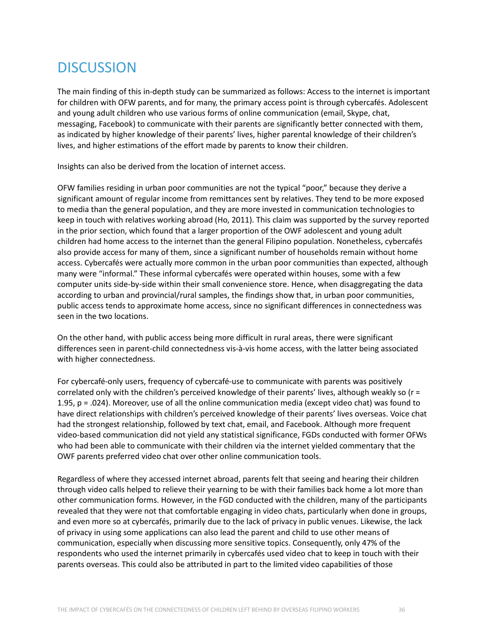## **DISCUSSION**

The main finding of this in-depth study can be summarized as follows: Access to the internet is important for children with OFW parents, and for many, the primary access point is through cybercafés. Adolescent and young adult children who use various forms of online communication (email, Skype, chat, messaging, Facebook) to communicate with their parents are significantly better connected with them, as indicated by higher knowledge of their parents' lives, higher parental knowledge of their children's lives, and higher estimations of the effort made by parents to know their children.

Insights can also be derived from the location of internet access.

OFW families residing in urban poor communities are not the typical "poor," because they derive a significant amount of regular income from remittances sent by relatives. They tend to be more exposed to media than the general population, and they are more invested in communication technologies to keep in touch with relatives working abroad (Ho, 2011). This claim was supported by the survey reported in the prior section, which found that a larger proportion of the OWF adolescent and young adult children had home access to the internet than the general Filipino population. Nonetheless, cybercafés also provide access for many of them, since a significant number of households remain without home access. Cybercafés were actually more common in the urban poor communities than expected, although many were "informal." These informal cybercafés were operated within houses, some with a few computer units side-by-side within their small convenience store. Hence, when disaggregating the data according to urban and provincial/rural samples, the findings show that, in urban poor communities, public access tends to approximate home access, since no significant differences in connectedness was seen in the two locations.

On the other hand, with public access being more difficult in rural areas, there were significant differences seen in parent-child connectedness vis-à-vis home access, with the latter being associated with higher connectedness.

For cybercafé-only users, frequency of cybercafé-use to communicate with parents was positively correlated only with the children's perceived knowledge of their parents' lives, although weakly so (r = 1.95, p = .024). Moreover, use of all the online communication media (except video chat) was found to have direct relationships with children's perceived knowledge of their parents' lives overseas. Voice chat had the strongest relationship, followed by text chat, email, and Facebook. Although more frequent video-based communication did not yield any statistical significance, FGDs conducted with former OFWs who had been able to communicate with their children via the internet yielded commentary that the OWF parents preferred video chat over other online communication tools.

Regardless of where they accessed internet abroad, parents felt that seeing and hearing their children through video calls helped to relieve their yearning to be with their families back home a lot more than other communication forms. However, in the FGD conducted with the children, many of the participants revealed that they were not that comfortable engaging in video chats, particularly when done in groups, and even more so at cybercafés, primarily due to the lack of privacy in public venues. Likewise, the lack of privacy in using some applications can also lead the parent and child to use other means of communication, especially when discussing more sensitive topics. Consequently, only 47% of the respondents who used the internet primarily in cybercafés used video chat to keep in touch with their parents overseas. This could also be attributed in part to the limited video capabilities of those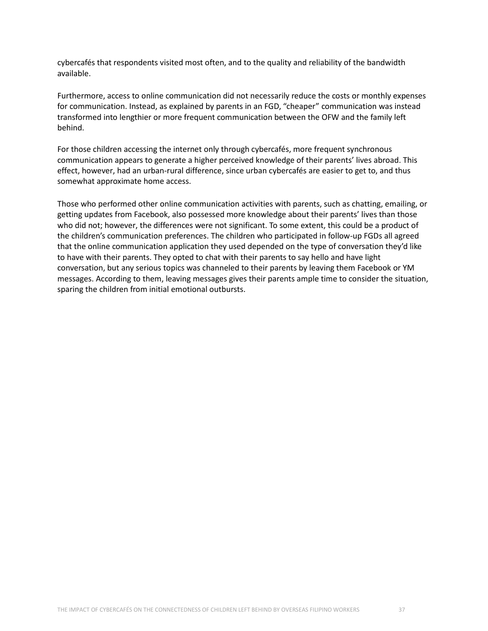cybercafés that respondents visited most often, and to the quality and reliability of the bandwidth available.

Furthermore, access to online communication did not necessarily reduce the costs or monthly expenses for communication. Instead, as explained by parents in an FGD, "cheaper" communication was instead transformed into lengthier or more frequent communication between the OFW and the family left behind.

For those children accessing the internet only through cybercafés, more frequent synchronous communication appears to generate a higher perceived knowledge of their parents' lives abroad. This effect, however, had an urban-rural difference, since urban cybercafés are easier to get to, and thus somewhat approximate home access.

Those who performed other online communication activities with parents, such as chatting, emailing, or getting updates from Facebook, also possessed more knowledge about their parents' lives than those who did not; however, the differences were not significant. To some extent, this could be a product of the children's communication preferences. The children who participated in follow-up FGDs all agreed that the online communication application they used depended on the type of conversation they'd like to have with their parents. They opted to chat with their parents to say hello and have light conversation, but any serious topics was channeled to their parents by leaving them Facebook or YM messages. According to them, leaving messages gives their parents ample time to consider the situation, sparing the children from initial emotional outbursts.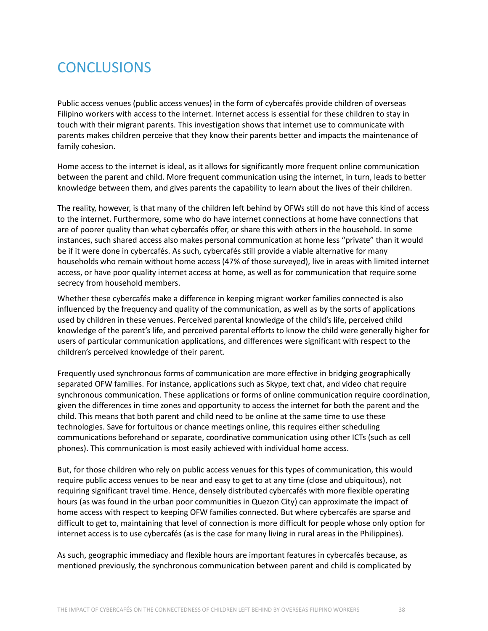## **CONCLUSIONS**

Public access venues (public access venues) in the form of cybercafés provide children of overseas Filipino workers with access to the internet. Internet access is essential for these children to stay in touch with their migrant parents. This investigation shows that internet use to communicate with parents makes children perceive that they know their parents better and impacts the maintenance of family cohesion.

Home access to the internet is ideal, as it allows for significantly more frequent online communication between the parent and child. More frequent communication using the internet, in turn, leads to better knowledge between them, and gives parents the capability to learn about the lives of their children.

The reality, however, is that many of the children left behind by OFWs still do not have this kind of access to the internet. Furthermore, some who do have internet connections at home have connections that are of poorer quality than what cybercafés offer, or share this with others in the household. In some instances, such shared access also makes personal communication at home less "private" than it would be if it were done in cybercafés. As such, cybercafés still provide a viable alternative for many households who remain without home access (47% of those surveyed), live in areas with limited internet access, or have poor quality internet access at home, as well as for communication that require some secrecy from household members.

Whether these cybercafés make a difference in keeping migrant worker families connected is also influenced by the frequency and quality of the communication, as well as by the sorts of applications used by children in these venues. Perceived parental knowledge of the child's life, perceived child knowledge of the parent's life, and perceived parental efforts to know the child were generally higher for users of particular communication applications, and differences were significant with respect to the children's perceived knowledge of their parent.

Frequently used synchronous forms of communication are more effective in bridging geographically separated OFW families. For instance, applications such as Skype, text chat, and video chat require synchronous communication. These applications or forms of online communication require coordination, given the differences in time zones and opportunity to access the internet for both the parent and the child. This means that both parent and child need to be online at the same time to use these technologies. Save for fortuitous or chance meetings online, this requires either scheduling communications beforehand or separate, coordinative communication using other ICTs (such as cell phones). This communication is most easily achieved with individual home access.

But, for those children who rely on public access venues for this types of communication, this would require public access venues to be near and easy to get to at any time (close and ubiquitous), not requiring significant travel time. Hence, densely distributed cybercafés with more flexible operating hours (as was found in the urban poor communities in Quezon City) can approximate the impact of home access with respect to keeping OFW families connected. But where cybercafés are sparse and difficult to get to, maintaining that level of connection is more difficult for people whose only option for internet access is to use cybercafés (as is the case for many living in rural areas in the Philippines).

As such, geographic immediacy and flexible hours are important features in cybercafés because, as mentioned previously, the synchronous communication between parent and child is complicated by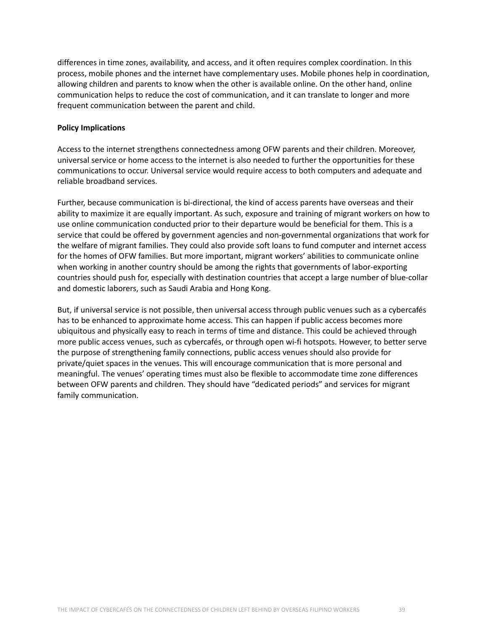differences in time zones, availability, and access, and it often requires complex coordination. In this process, mobile phones and the internet have complementary uses. Mobile phones help in coordination, allowing children and parents to know when the other is available online. On the other hand, online communication helps to reduce the cost of communication, and it can translate to longer and more frequent communication between the parent and child.

#### **Policy Implications**

Access to the internet strengthens connectedness among OFW parents and their children. Moreover, universal service or home access to the internet is also needed to further the opportunities for these communications to occur. Universal service would require access to both computers and adequate and reliable broadband services.

Further, because communication is bi-directional, the kind of access parents have overseas and their ability to maximize it are equally important. As such, exposure and training of migrant workers on how to use online communication conducted prior to their departure would be beneficial for them. This is a service that could be offered by government agencies and non-governmental organizations that work for the welfare of migrant families. They could also provide soft loans to fund computer and internet access for the homes of OFW families. But more important, migrant workers' abilities to communicate online when working in another country should be among the rights that governments of labor-exporting countries should push for, especially with destination countries that accept a large number of blue-collar and domestic laborers, such as Saudi Arabia and Hong Kong.

But, if universal service is not possible, then universal access through public venues such as a cybercafés has to be enhanced to approximate home access. This can happen if public access becomes more ubiquitous and physically easy to reach in terms of time and distance. This could be achieved through more public access venues, such as cybercafés, or through open wi-fi hotspots. However, to better serve the purpose of strengthening family connections, public access venues should also provide for private/quiet spaces in the venues. This will encourage communication that is more personal and meaningful. The venues' operating times must also be flexible to accommodate time zone differences between OFW parents and children. They should have "dedicated periods" and services for migrant family communication.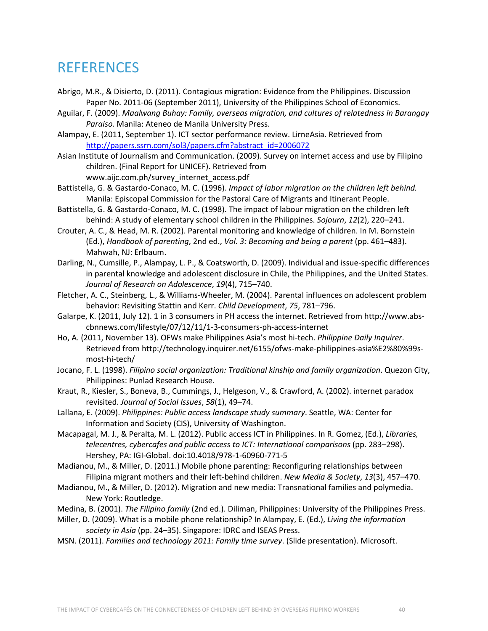### **REFERENCES**

- Abrigo, M.R., & Disierto, D. (2011). Contagious migration: Evidence from the Philippines. Discussion Paper No. 2011-06 (September 2011), University of the Philippines School of Economics.
- Aguilar, F. (2009). *Maalwang Buhay: Family, overseas migration, and cultures of relatedness in Barangay Paraiso.* Manila: Ateneo de Manila University Press.
- Alampay, E. (2011, September 1). ICT sector performance review. LirneAsia. Retrieved from [http://papers.ssrn.com/sol3/papers.cfm?abstract\\_id=2006072](http://papers.ssrn.com/sol3/papers.cfm?abstract_id=2006072)
- Asian Institute of Journalism and Communication. (2009). Survey on internet access and use by Filipino children. (Final Report for UNICEF). Retrieved from www.aijc.com.ph/survey\_internet\_access.pdf
- Battistella, G. & Gastardo-Conaco, M. C. (1996). *Impact of labor migration on the children left behind.*  Manila: Episcopal Commission for the Pastoral Care of Migrants and Itinerant People.
- Battistella, G. & Gastardo-Conaco, M. C. (1998). The impact of labour migration on the children left behind: A study of elementary school children in the Philippines. *Sojourn*, *12*(2), 220–241.
- Crouter, A. C., & Head, M. R. (2002). Parental monitoring and knowledge of children. In M. Bornstein (Ed.), *Handbook of parenting*, 2nd ed., *Vol. 3: Becoming and being a parent* (pp. 461–483). Mahwah, NJ: Erlbaum.
- Darling, N., Cumsille, P., Alampay, L. P., & Coatsworth, D. (2009). Individual and issue-specific differences in parental knowledge and adolescent disclosure in Chile, the Philippines, and the United States. *Journal of Research on Adolescence*, *19*(4), 715–740.
- Fletcher, A. C., Steinberg, L., & Williams-Wheeler, M. (2004). Parental influences on adolescent problem behavior: Revisiting Stattin and Kerr. *Child Development*, *75*, 781–796.
- Galarpe, K. (2011, July 12). 1 in 3 consumers in PH access the internet. Retrieved from http://www.abscbnnews.com/lifestyle/07/12/11/1-3-consumers-ph-access-internet
- Ho, A. (2011, November 13). OFWs make Philippines Asia's most hi-tech. *Philippine Daily Inquirer*. Retrieved from http://technology.inquirer.net/6155/ofws-make-philippines-asia%E2%80%99smost-hi-tech/
- Jocano, F. L. (1998). *Filipino social organization: Traditional kinship and family organization*. Quezon City, Philippines: Punlad Research House.
- Kraut, R., Kiesler, S., Boneva, B., Cummings, J., Helgeson, V., & Crawford, A. (2002). internet paradox revisited. *Journal of Social Issues*, *58*(1), 49–74.
- Lallana, E. (2009). *Philippines: Public access landscape study summary*. Seattle, WA: Center for Information and Society (CIS), University of Washington.
- Macapagal, M. J., & Peralta, M. L. (2012). Public access ICT in Philippines. In R. Gomez, (Ed.), *Libraries, telecentres, cybercafes and public access to ICT: International comparisons (pp. 283–298).* Hershey, PA: IGI-Global. doi:10.4018/978-1-60960-771-5
- Madianou, M., & Miller, D. (2011.) Mobile phone parenting: Reconfiguring relationships between Filipina migrant mothers and their left-behind children. *New Media & Society*, *13*(3), 457–470.
- Madianou, M., & Miller, D. (2012). Migration and new media: Transnational families and polymedia. New York: Routledge.
- Medina, B. (2001). *The Filipino family* (2nd ed.). Diliman, Philippines: University of the Philippines Press.
- Miller, D. (2009). What is a mobile phone relationship? In Alampay, E. (Ed.), *Living the information society in Asia* (pp. 24–35). Singapore: IDRC and ISEAS Press.
- MSN. (2011). *Families and technology 2011: Family time survey*. (Slide presentation). Microsoft.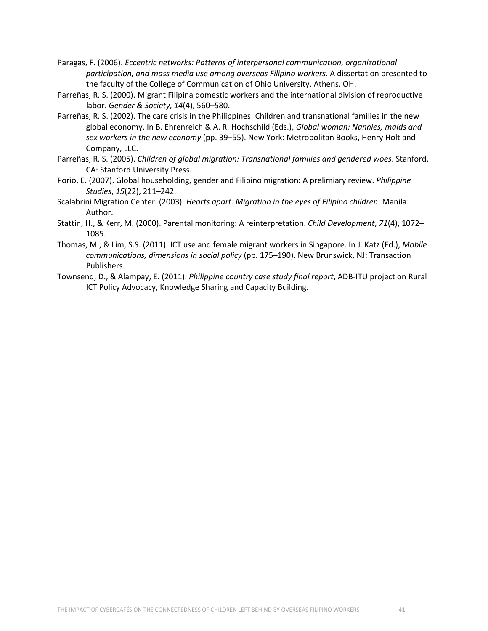- Paragas, F. (2006). *Eccentric networks: Patterns of interpersonal communication, organizational participation, and mass media use among overseas Filipino workers.* A dissertation presented to the faculty of the College of Communication of Ohio University, Athens, OH.
- Parreñas, R. S. (2000). Migrant Filipina domestic workers and the international division of reproductive labor. *Gender & Society*, *14*(4), 560–580.
- Parreñas, R. S. (2002). The care crisis in the Philippines: Children and transnational families in the new global economy. In B. Ehrenreich & A. R. Hochschild (Eds.), *Global woman: Nannies, maids and sex workers in the new economy* (pp. 39–55). New York: Metropolitan Books, Henry Holt and Company, LLC.
- Parreñas, R. S. (2005). *Children of global migration: Transnational families and gendered woes*. Stanford, CA: Stanford University Press.
- Porio, E. (2007). Global householding, gender and Filipino migration: A prelimiary review. *Philippine Studies*, *15*(22), 211–242.
- Scalabrini Migration Center. (2003). *Hearts apart: Migration in the eyes of Filipino children*. Manila: Author.
- Stattin, H., & Kerr, M. (2000). Parental monitoring: A reinterpretation. *Child Development*, *71*(4), 1072– 1085.
- Thomas, M., & Lim, S.S. (2011). ICT use and female migrant workers in Singapore. In J. Katz (Ed.), *Mobile communications, dimensions in social policy* (pp. 175–190). New Brunswick, NJ: Transaction Publishers.
- Townsend, D., & Alampay, E. (2011). *Philippine country case study final report*, ADB-ITU project on Rural ICT Policy Advocacy, Knowledge Sharing and Capacity Building.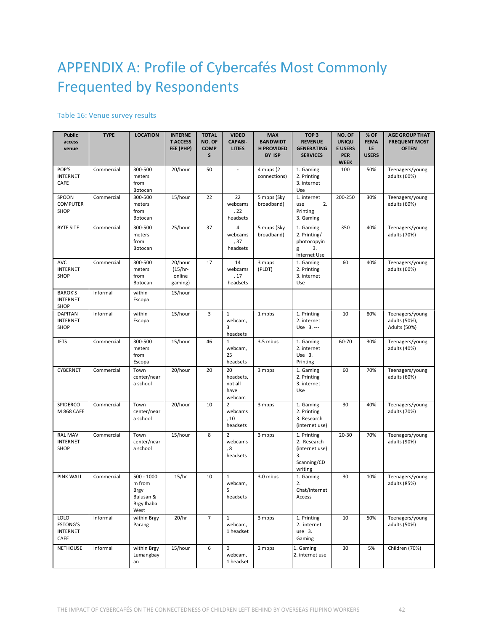# APPENDIX A: Profile of Cybercafés Most Commonly Frequented by Respondents

### Table 16: Venue survey results

| Public<br>access<br>venue                                 | <b>TYPE</b> | <b>LOCATION</b>                                                          | <b>INTERNE</b><br><b>T ACCESS</b><br>FEE (PHP) | <b>TOTAL</b><br>NO. OF<br><b>COMP</b><br>S | <b>VIDEO</b><br><b>CAPABI-</b><br>LITIES      | <b>MAX</b><br><b>BANDWIDT</b><br><b>H PROVIDED</b><br>BY ISP | TOP <sub>3</sub><br><b>REVENUE</b><br><b>GENERATING</b><br><b>SERVICES</b>   | NO. OF<br><b>UNIQU</b><br><b>E USERS</b><br><b>PER</b><br><b>WEEK</b> | % OF<br><b>FEMA</b><br>LE<br><b>USERS</b> | <b>AGE GROUP THAT</b><br><b>FREQUENT MOST</b><br><b>OFTEN</b> |
|-----------------------------------------------------------|-------------|--------------------------------------------------------------------------|------------------------------------------------|--------------------------------------------|-----------------------------------------------|--------------------------------------------------------------|------------------------------------------------------------------------------|-----------------------------------------------------------------------|-------------------------------------------|---------------------------------------------------------------|
| POP'S<br><b>INTERNET</b><br>CAFE                          | Commercial  | 300-500<br>meters<br>from<br>Botocan                                     | 20/hour                                        | 50                                         |                                               | $4$ mbps $(2)$<br>connections)                               | 1. Gaming<br>2. Printing<br>3. internet<br>Use                               | 100                                                                   | 50%                                       | Teenagers/young<br>adults (60%)                               |
| SPOON<br><b>COMPUTER</b><br>SHOP                          | Commercial  | 300-500<br>meters<br>from<br>Botocan                                     | 15/hour                                        | 22                                         | 22<br>webcams<br>, 22<br>headsets             | 5 mbps (Sky<br>broadband)                                    | 1. internet<br>2.<br>use<br>Printing<br>3. Gaming                            | 200-250                                                               | 30%                                       | Teenagers/young<br>adults (60%)                               |
| <b>BYTE SITE</b>                                          | Commercial  | 300-500<br>meters<br>from<br>Botocan                                     | 25/hour                                        | 37                                         | $\overline{4}$<br>webcams<br>, 37<br>headsets | 5 mbps (Sky<br>broadband)                                    | 1. Gaming<br>2. Printing/<br>photocopyin<br>3.<br>g<br>internet Use          | 350                                                                   | 40%                                       | Teenagers/young<br>adults (70%)                               |
| AVC<br><b>INTERNET</b><br>SHOP                            | Commercial  | 300-500<br>meters<br>from<br>Botocan                                     | 20/hour<br>$(15/hr -$<br>online<br>gaming)     | 17                                         | 14<br>webcams<br>, 17<br>headsets             | 3 mbps<br>(PLDT)                                             | 1. Gaming<br>2. Printing<br>3. internet<br>Use                               | 60                                                                    | 40%                                       | Teenagers/young<br>adults (60%)                               |
| <b>BAROK'S</b><br><b>INTERNET</b><br>SHOP                 | Informal    | within<br>Escopa                                                         | 15/hour                                        |                                            |                                               |                                                              |                                                                              |                                                                       |                                           |                                                               |
| <b>DAPITAN</b><br><b>INTERNET</b><br>SHOP                 | Informal    | within<br>Escopa                                                         | 15/hour                                        | 3                                          | $\mathbf{1}$<br>webcam,<br>3<br>headsets      | 1 mpbs                                                       | 1. Printing<br>2. internet<br>Use 3.---                                      | 10                                                                    | 80%                                       | Teenagers/young<br>adults (50%),<br>Adults (50%)              |
| <b>JETS</b>                                               | Commercial  | 300-500<br>meters<br>from<br>Escopa                                      | 15/hour                                        | 46                                         | $\mathbf{1}$<br>webcam,<br>25<br>headsets     | 3.5 mbps                                                     | 1. Gaming<br>2. internet<br>Use 3.<br>Printing                               | 60-70                                                                 | 30%                                       | Teenagers/young<br>adults (40%)                               |
| <b>CYBERNET</b>                                           | Commercial  | Town<br>center/near<br>a school                                          | 20/hour                                        | 20                                         | 20<br>headsets,<br>not all<br>have<br>webcam  | 3 mbps                                                       | 1. Gaming<br>2. Printing<br>3. internet<br>Use                               | 60                                                                    | 70%                                       | Teenagers/young<br>adults (60%)                               |
| <b>SPIDERCO</b><br>M 868 CAFE                             | Commercial  | Town<br>center/near<br>a school                                          | 20/hour                                        | 10                                         | $\overline{2}$<br>webcams<br>, 10<br>headsets | 3 mbps                                                       | 1. Gaming<br>2. Printing<br>3. Research<br>(internet use)                    | 30                                                                    | 40%                                       | Teenagers/young<br>adults (70%)                               |
| <b>RAL MAV</b><br><b>INTERNET</b><br>SHOP                 | Commercial  | Town<br>center/near<br>a school                                          | 15/hour                                        | 8                                          | 2<br>webcams<br>, 8<br>headsets               | 3 mbps                                                       | 1. Printing<br>2. Research<br>(internet use)<br>3.<br>Scanning/CD<br>writing | $20 - 30$                                                             | 70%                                       | Teenagers/young<br>adults (90%)                               |
| <b>PINK WALL</b>                                          | Commercial  | $500 - 1000$<br>m from<br><b>Brgy</b><br>Bulusan &<br>Brgy Ibaba<br>West | 15/hr                                          | 10                                         | $1\,$<br>webcam,<br>5<br>headsets             | 3.0 mbps                                                     | 1. Gaming<br>2.<br>Chat/internet<br>Access                                   | 30                                                                    | 10%                                       | Teenagers/young<br>adults (85%)                               |
| <b>LOLO</b><br><b>ESTONG'S</b><br><b>INTERNET</b><br>CAFE | Informal    | within Brgy<br>Parang                                                    | 20/hr                                          | $\overline{7}$                             | $\mathbf{1}$<br>webcam,<br>1 headset          | 3 mbps                                                       | 1. Printing<br>2. internet<br>use 3.<br>Gaming                               | 10                                                                    | 50%                                       | Teenagers/young<br>adults (50%)                               |
| <b>NETHOUSE</b>                                           | Informal    | within Brgy<br>Lumangbay<br>an                                           | 15/hour                                        | 6                                          | $\mathbf 0$<br>webcam,<br>1 headset           | 2 mbps                                                       | 1. Gaming<br>2. internet use                                                 | 30                                                                    | 5%                                        | Children (70%)                                                |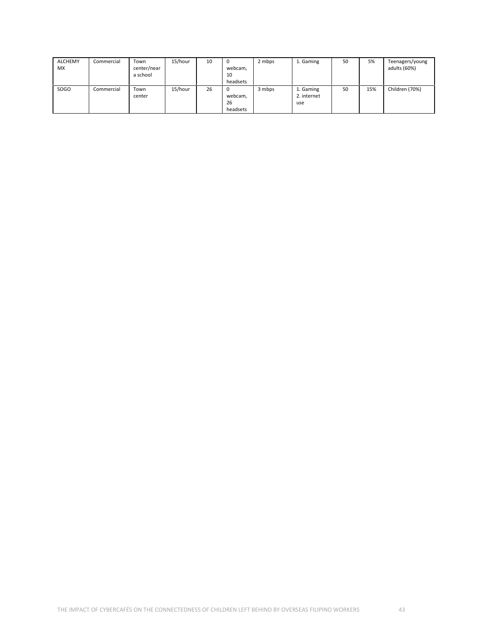| <b>ALCHEMY</b><br><b>MX</b> | Commercial | Town<br>center/near<br>a school | 15/hour | 10 | C<br>webcam,<br>10<br>headsets | 2 mbps | 1. Gaming                       | 50 | 5%  | Teenagers/young<br>adults (60%) |
|-----------------------------|------------|---------------------------------|---------|----|--------------------------------|--------|---------------------------------|----|-----|---------------------------------|
| SOGO                        | Commercial | Town<br>center                  | 15/hour | 26 | C<br>webcam,<br>26<br>headsets | 3 mbps | 1. Gaming<br>2. internet<br>use | 50 | 15% | Children (70%)                  |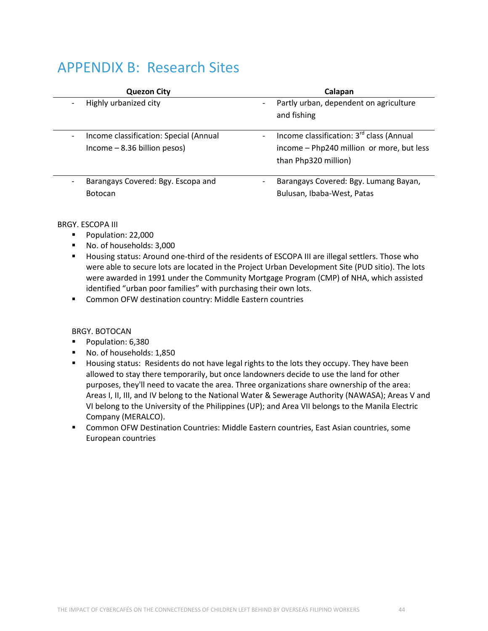### APPENDIX B: Research Sites

| <b>Quezon City</b>                     | Calapan                                                                              |
|----------------------------------------|--------------------------------------------------------------------------------------|
| Highly urbanized city                  | Partly urban, dependent on agriculture<br>$\overline{\phantom{a}}$                   |
|                                        | and fishing                                                                          |
|                                        |                                                                                      |
| Income classification: Special (Annual | Income classification: 3 <sup>rd</sup> class (Annual<br>$\qquad \qquad \blacksquare$ |
| $lncome - 8.36 billion pesos)$         | income - Php240 million or more, but less                                            |
|                                        | than Php320 million)                                                                 |
|                                        |                                                                                      |
| Barangays Covered: Bgy. Escopa and     | Barangays Covered: Bgy. Lumang Bayan,<br>$\overline{\phantom{a}}$                    |
| <b>Botocan</b>                         | Bulusan, Ibaba-West, Patas                                                           |
|                                        |                                                                                      |

### BRGY. ESCOPA III

- Population: 22,000
- No. of households: 3,000
- **H** Housing status: Around one-third of the residents of ESCOPA III are illegal settlers. Those who were able to secure lots are located in the Project Urban Development Site (PUD sitio). The lots were awarded in 1991 under the Community Mortgage Program (CMP) of NHA, which assisted identified "urban poor families" with purchasing their own lots.
- **Common OFW destination country: Middle Eastern countries**

### BRGY. BOTOCAN

- Population: 6,380
- No. of households: 1,850
- **H** Housing status: Residents do not have legal rights to the lots they occupy. They have been allowed to stay there temporarily, but once landowners decide to use the land for other purposes, they'll need to vacate the area. Three organizations share ownership of the area: Areas I, II, III, and IV belong to the National Water & Sewerage Authority (NAWASA); Areas V and VI belong to the University of the Philippines (UP); and Area VII belongs to the Manila Electric Company (MERALCO).
- Common OFW Destination Countries: Middle Eastern countries, East Asian countries, some European countries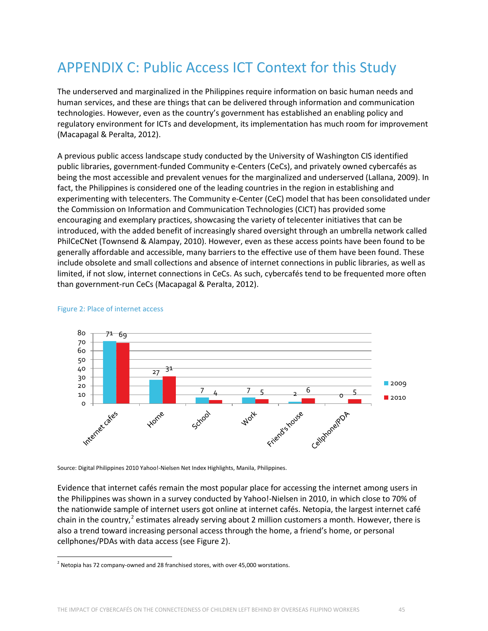# APPENDIX C: Public Access ICT Context for this Study

The underserved and marginalized in the Philippines require information on basic human needs and human services, and these are things that can be delivered through information and communication technologies. However, even as the country's government has established an enabling policy and regulatory environment for ICTs and development, its implementation has much room for improvement (Macapagal & Peralta, 2012).

A previous public access landscape study conducted by the University of Washington CIS identified public libraries, government-funded Community e-Centers (CeCs), and privately owned cybercafés as being the most accessible and prevalent venues for the marginalized and underserved (Lallana, 2009). In fact, the Philippines is considered one of the leading countries in the region in establishing and experimenting with telecenters. The Community e-Center (CeC) model that has been consolidated under the Commission on Information and Communication Technologies (CICT) has provided some encouraging and exemplary practices, showcasing the variety of telecenter initiatives that can be introduced, with the added benefit of increasingly shared oversight through an umbrella network called PhilCeCNet (Townsend & Alampay, 2010). However, even as these access points have been found to be generally affordable and accessible, many barriers to the effective use of them have been found. These include obsolete and small collections and absence of internet connections in public libraries, as well as limited, if not slow, internet connections in CeCs. As such, cybercafés tend to be frequented more often than government-run CeCs (Macapagal & Peralta, 2012).



#### Figure 2: Place of internet access

Source: Digital Philippines 2010 Yahoo!-Nielsen Net Index Highlights, Manila, Philippines.

Evidence that internet cafés remain the most popular place for accessing the internet among users in the Philippines was shown in a survey conducted by Yahoo!-Nielsen in 2010, in which close to 70% of the nationwide sample of internet users got online at internet cafés. Netopia, the largest internet café chain in the country,<sup>[2](#page-44-0)</sup> estimates already serving about 2 million customers a month. However, there is also a trend toward increasing personal access through the home, a friend's home, or personal cellphones/PDAs with data access (see Figure 2).

<span id="page-44-0"></span> $<sup>2</sup>$  Netopia has 72 company-owned and 28 franchised stores, with over 45,000 worstations.</sup>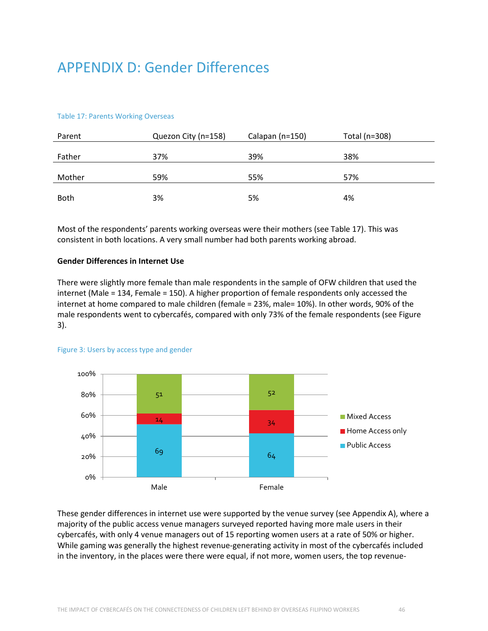## APPENDIX D: Gender Differences

#### Table 17: Parents Working Overseas

| Parent      | Quezon City (n=158) | Calapan (n=150) | Total (n=308) |
|-------------|---------------------|-----------------|---------------|
| Father      | 37%                 | 39%             | 38%           |
|             |                     |                 |               |
| Mother      | 59%                 | 55%             | 57%           |
|             |                     |                 |               |
| <b>Both</b> | 3%                  | 5%              | 4%            |

Most of the respondents' parents working overseas were their mothers (see Table 17). This was consistent in both locations. A very small number had both parents working abroad.

#### **Gender Differences in Internet Use**

There were slightly more female than male respondents in the sample of OFW children that used the internet (Male = 134, Female = 150). A higher proportion of female respondents only accessed the internet at home compared to male children (female = 23%, male= 10%). In other words, 90% of the male respondents went to cybercafés, compared with only 73% of the female respondents (see Figure 3).



#### Figure 3: Users by access type and gender

These gender differences in internet use were supported by the venue survey (see Appendix A), where a majority of the public access venue managers surveyed reported having more male users in their cybercafés, with only 4 venue managers out of 15 reporting women users at a rate of 50% or higher. While gaming was generally the highest revenue-generating activity in most of the cybercafés included in the inventory, in the places were there were equal, if not more, women users, the top revenue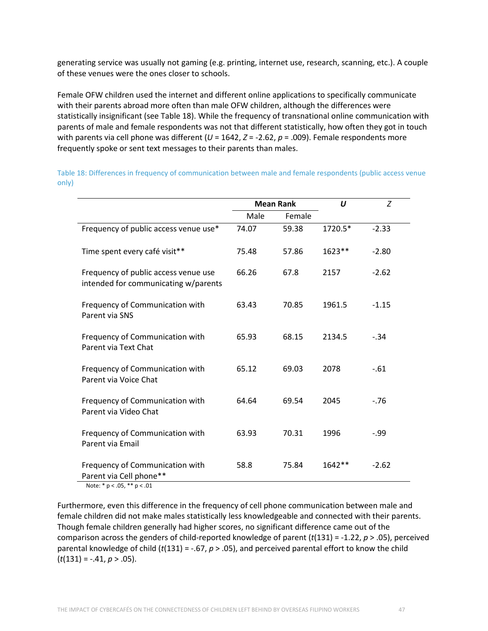generating service was usually not gaming (e.g. printing, internet use, research, scanning, etc.). A couple of these venues were the ones closer to schools.

Female OFW children used the internet and different online applications to specifically communicate with their parents abroad more often than male OFW children, although the differences were statistically insignificant (see Table 18). While the frequency of transnational online communication with parents of male and female respondents was not that different statistically, how often they got in touch with parents via cell phone was different (*U* = 1642, *Z* = -2.62, *p* = .009). Female respondents more frequently spoke or sent text messages to their parents than males.

|                                                                              |       | <b>Mean Rank</b> | $\boldsymbol{U}$ | Z       |
|------------------------------------------------------------------------------|-------|------------------|------------------|---------|
|                                                                              | Male  | Female           |                  |         |
| Frequency of public access venue use*                                        | 74.07 | 59.38            | 1720.5*          | $-2.33$ |
| Time spent every café visit**                                                | 75.48 | 57.86            | 1623**           | $-2.80$ |
| Frequency of public access venue use<br>intended for communicating w/parents | 66.26 | 67.8             | 2157             | $-2.62$ |
| Frequency of Communication with<br>Parent via SNS                            | 63.43 | 70.85            | 1961.5           | $-1.15$ |
| Frequency of Communication with<br>Parent via Text Chat                      | 65.93 | 68.15            | 2134.5           | $-.34$  |
| Frequency of Communication with<br>Parent via Voice Chat                     | 65.12 | 69.03            | 2078             | $-.61$  |
| Frequency of Communication with<br>Parent via Video Chat                     | 64.64 | 69.54            | 2045             | $-76$   |
| Frequency of Communication with<br>Parent via Email                          | 63.93 | 70.31            | 1996             | $-.99$  |
| Frequency of Communication with<br>Parent via Cell phone**                   | 58.8  | 75.84            | $1642**$         | $-2.62$ |

Table 18: Differences in frequency of communication between male and female respondents (public access venue only)

Note: \* p < .05, \*\* p < .01

Furthermore, even this difference in the frequency of cell phone communication between male and female children did not make males statistically less knowledgeable and connected with their parents. Though female children generally had higher scores, no significant difference came out of the comparison across the genders of child-reported knowledge of parent (*t*(131) = -1.22, *p* > .05), perceived parental knowledge of child (*t*(131) = -.67, *p* > .05), and perceived parental effort to know the child (*t*(131) = -.41, *p* > .05).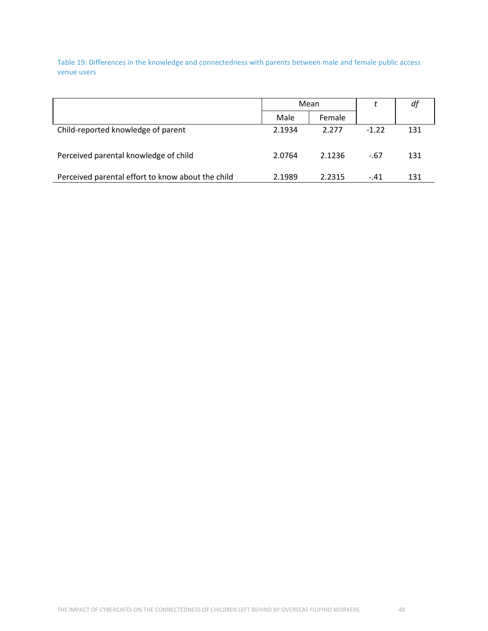Table 19: Differences in the knowledge and connectedness with parents between male and female public access venue users

|                                                   | Mean   |        |         | dj  |
|---------------------------------------------------|--------|--------|---------|-----|
|                                                   | Male   | Female |         |     |
| Child-reported knowledge of parent                | 2.1934 | 2.277  | $-1.22$ | 131 |
| Perceived parental knowledge of child             | 2.0764 | 2.1236 | $-67$   | 131 |
| Perceived parental effort to know about the child | 2.1989 | 2.2315 | $-.41$  | 131 |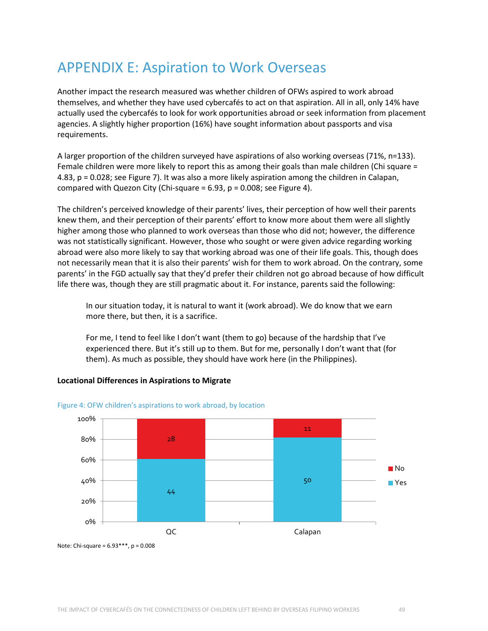## APPENDIX E: Aspiration to Work Overseas

Another impact the research measured was whether children of OFWs aspired to work abroad themselves, and whether they have used cybercafés to act on that aspiration. All in all, only 14% have actually used the cybercafés to look for work opportunities abroad or seek information from placement agencies. A slightly higher proportion (16%) have sought information about passports and visa requirements.

A larger proportion of the children surveyed have aspirations of also working overseas (71%, n=133). Female children were more likely to report this as among their goals than male children (Chi square = 4.83, p = 0.028; see Figure 7). It was also a more likely aspiration among the children in Calapan, compared with Quezon City (Chi-square =  $6.93$ ,  $p = 0.008$ ; see Figure 4).

The children's perceived knowledge of their parents' lives, their perception of how well their parents knew them, and their perception of their parents' effort to know more about them were all slightly higher among those who planned to work overseas than those who did not; however, the difference was not statistically significant. However, those who sought or were given advice regarding working abroad were also more likely to say that working abroad was one of their life goals. This, though does not necessarily mean that it is also their parents' wish for them to work abroad. On the contrary, some parents' in the FGD actually say that they'd prefer their children not go abroad because of how difficult life there was, though they are still pragmatic about it. For instance, parents said the following:

In our situation today, it is natural to want it (work abroad). We do know that we earn more there, but then, it is a sacrifice.

For me, I tend to feel like I don't want (them to go) because of the hardship that I've experienced there. But it's still up to them. But for me, personally I don't want that (for them). As much as possible, they should have work here (in the Philippines).

### **Locational Differences in Aspirations to Migrate**



#### Figure 4: OFW children's aspirations to work abroad, by location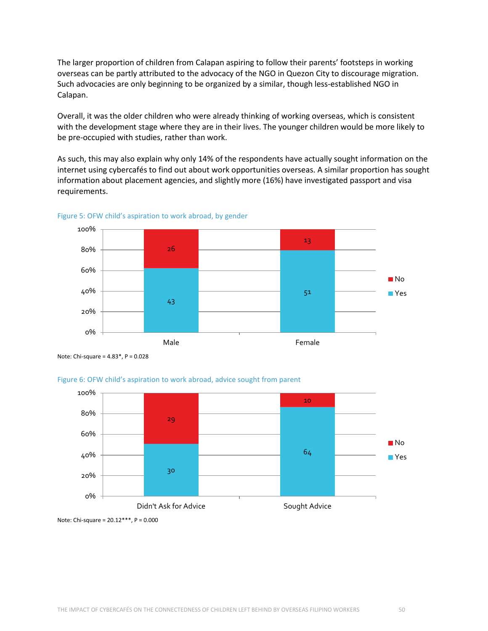The larger proportion of children from Calapan aspiring to follow their parents' footsteps in working overseas can be partly attributed to the advocacy of the NGO in Quezon City to discourage migration. Such advocacies are only beginning to be organized by a similar, though less-established NGO in Calapan.

Overall, it was the older children who were already thinking of working overseas, which is consistent with the development stage where they are in their lives. The younger children would be more likely to be pre-occupied with studies, rather than work.

As such, this may also explain why only 14% of the respondents have actually sought information on the internet using cybercafés to find out about work opportunities overseas. A similar proportion has sought information about placement agencies, and slightly more (16%) have investigated passport and visa requirements.



Figure 5: OFW child's aspiration to work abroad, by gender

Note: Chi-square = 4.83\*, P = 0.028



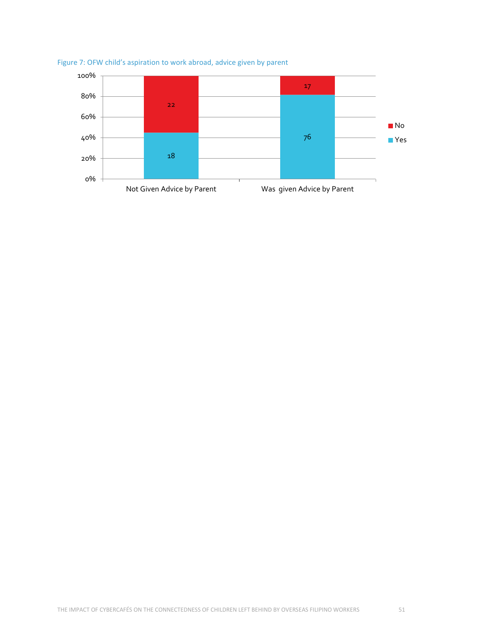

### Figure 7: OFW child's aspiration to work abroad, advice given by parent